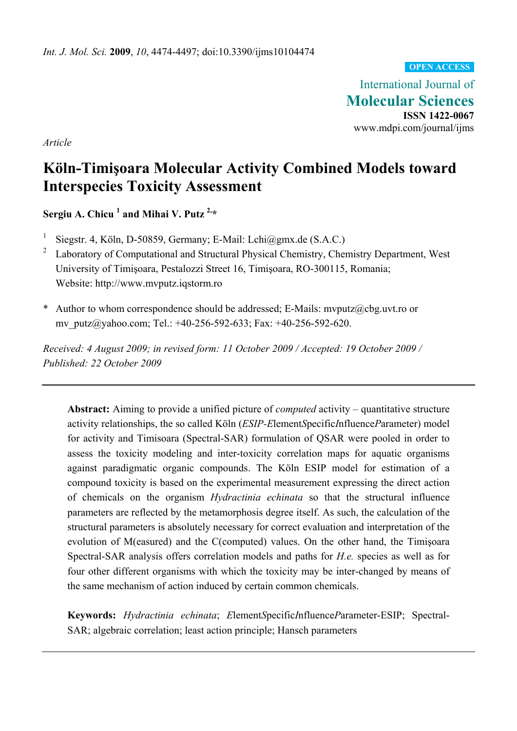**OPEN ACCESS**

International Journal of **Molecular Sciences ISSN 1422-0067**  www.mdpi.com/journal/ijms

*Article* 

# **Köln-Timişoara Molecular Activity Combined Models toward Interspecies Toxicity Assessment**

**Sergiu A. Chicu <sup>1</sup> and Mihai V. Putz 2,\*** 

- <sup>1</sup> Siegstr. 4, Köln, D-50859, Germany; E-Mail: Lchi@gmx.de (S.A.C.)
- <sup>2</sup> Laboratory of Computational and Structural Physical Chemistry, Chemistry Department, West University of Timişoara, Pestalozzi Street 16, Timişoara, RO-300115, Romania; Website: http://www.mvputz.iqstorm.ro
- \* Author to whom correspondence should be addressed; E-Mails: mvputz@cbg.uvt.ro or mv\_putz@yahoo.com; Tel.: +40-256-592-633; Fax: +40-256-592-620.

*Received: 4 August 2009; in revised form: 11 October 2009 / Accepted: 19 October 2009 / Published: 22 October 2009* 

**Abstract:** Aiming to provide a unified picture of *computed* activity – quantitative structure activity relationships, the so called Köln (*ESIP-E*lement*S*pecific*I*nfluence*P*arameter) model for activity and Timisoara (Spectral-SAR) formulation of QSAR were pooled in order to assess the toxicity modeling and inter-toxicity correlation maps for aquatic organisms against paradigmatic organic compounds. The Köln ESIP model for estimation of a compound toxicity is based on the experimental measurement expressing the direct action of chemicals on the organism *Hydractinia echinata* so that the structural influence parameters are reflected by the metamorphosis degree itself. As such, the calculation of the structural parameters is absolutely necessary for correct evaluation and interpretation of the evolution of M(easured) and the C(computed) values. On the other hand, the Timişoara Spectral-SAR analysis offers correlation models and paths for *H.e.* species as well as for four other different organisms with which the toxicity may be inter-changed by means of the same mechanism of action induced by certain common chemicals.

**Keywords:** *Hydractinia echinata*; *E*lement*S*pecific*I*nfluence*P*arameter-ESIP; Spectral-SAR; algebraic correlation; least action principle; Hansch parameters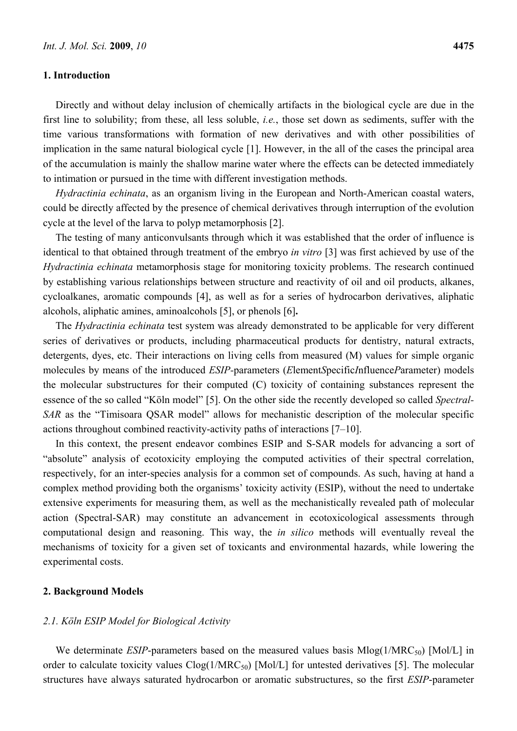### **1. Introduction**

Directly and without delay inclusion of chemically artifacts in the biological cycle are due in the first line to solubility; from these, all less soluble, *i.e.*, those set down as sediments, suffer with the time various transformations with formation of new derivatives and with other possibilities of implication in the same natural biological cycle [1]. However, in the all of the cases the principal area of the accumulation is mainly the shallow marine water where the effects can be detected immediately to intimation or pursued in the time with different investigation methods.

*Hydractinia echinata*, as an organism living in the European and North-American coastal waters, could be directly affected by the presence of chemical derivatives through interruption of the evolution cycle at the level of the larva to polyp metamorphosis [2].

The testing of many anticonvulsants through which it was established that the order of influence is identical to that obtained through treatment of the embryo *in vitro* [3] was first achieved by use of the *Hydractinia echinata* metamorphosis stage for monitoring toxicity problems. The research continued by establishing various relationships between structure and reactivity of oil and oil products, alkanes, cycloalkanes, aromatic compounds [4], as well as for a series of hydrocarbon derivatives, aliphatic alcohols, aliphatic amines, aminoalcohols [5], or phenols [6]**.** 

The *Hydractinia echinata* test system was already demonstrated to be applicable for very different series of derivatives or products, including pharmaceutical products for dentistry, natural extracts, detergents, dyes, etc. Their interactions on living cells from measured (M) values for simple organic molecules by means of the introduced *ESIP-*parameters (*E*lement*S*pecific*I*nfluence*P*arameter) models the molecular substructures for their computed (C) toxicity of containing substances represent the essence of the so called "Köln model" [5]. On the other side the recently developed so called *Spectral-SAR* as the "Timisoara QSAR model" allows for mechanistic description of the molecular specific actions throughout combined reactivity-activity paths of interactions [7–10].

In this context, the present endeavor combines ESIP and S-SAR models for advancing a sort of "absolute" analysis of ecotoxicity employing the computed activities of their spectral correlation, respectively, for an inter-species analysis for a common set of compounds. As such, having at hand a complex method providing both the organisms' toxicity activity (ESIP), without the need to undertake extensive experiments for measuring them, as well as the mechanistically revealed path of molecular action (Spectral-SAR) may constitute an advancement in ecotoxicological assessments through computational design and reasoning. This way, the *in silico* methods will eventually reveal the mechanisms of toxicity for a given set of toxicants and environmental hazards, while lowering the experimental costs.

#### **2. Background Models**

## *2.1. Köln ESIP Model for Biological Activity*

We determinate *ESIP*-parameters based on the measured values basis  $Mlog(1/MRC_{50})$  [Mol/L] in order to calculate toxicity values  $Clog(1/MRC_{50})$  [Mol/L] for untested derivatives [5]. The molecular structures have always saturated hydrocarbon or aromatic substructures, so the first *ESIP*-parameter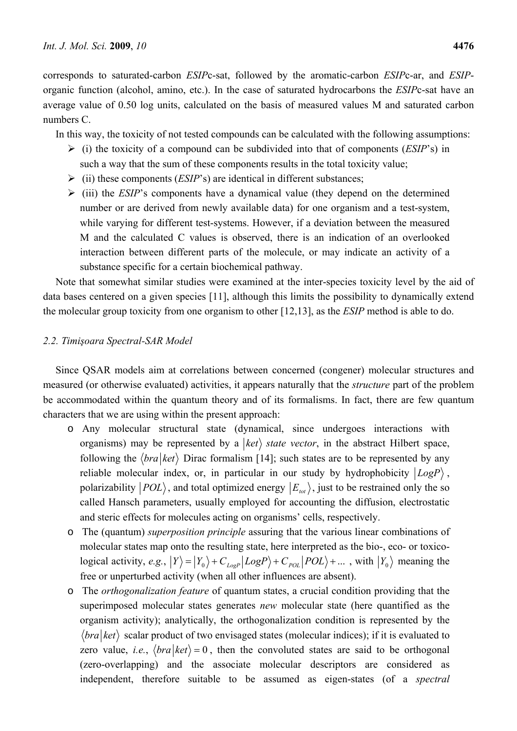corresponds to saturated-carbon *ESIP*c-sat, followed by the aromatic-carbon *ESIP*c-ar, and *ESIP*organic function (alcohol, amino, etc.). In the case of saturated hydrocarbons the *ESIP*c-sat have an average value of 0.50 log units, calculated on the basis of measured values M and saturated carbon numbers C.

In this way, the toxicity of not tested compounds can be calculated with the following assumptions:

- ¾ (i) the toxicity of a compound can be subdivided into that of components (*ESIP*'s) in such a way that the sum of these components results in the total toxicity value;
- ¾ (ii) these components (*ESIP*'s) are identical in different substances;
- ¾ (iii) the *ESIP*'s components have a dynamical value (they depend on the determined number or are derived from newly available data) for one organism and a test-system, while varying for different test-systems. However, if a deviation between the measured M and the calculated C values is observed, there is an indication of an overlooked interaction between different parts of the molecule, or may indicate an activity of a substance specific for a certain biochemical pathway.

Note that somewhat similar studies were examined at the inter-species toxicity level by the aid of data bases centered on a given species [11], although this limits the possibility to dynamically extend the molecular group toxicity from one organism to other [12,13], as the *ESIP* method is able to do.

## *2.2. Timişoara Spectral-SAR Model*

Since QSAR models aim at correlations between concerned (congener) molecular structures and measured (or otherwise evaluated) activities, it appears naturally that the *structure* part of the problem be accommodated within the quantum theory and of its formalisms. In fact, there are few quantum characters that we are using within the present approach:

- o Any molecular structural state (dynamical, since undergoes interactions with organisms) may be represented by a  $|ket\rangle$  *state vector*, in the abstract Hilbert space, following the  $\langle bra|ket \rangle$  Dirac formalism [14]; such states are to be represented by any reliable molecular index, or, in particular in our study by hydrophobicity *LogP* , polarizability  $|POL\rangle$ , and total optimized energy  $|E_{tot}\rangle$ , just to be restrained only the so called Hansch parameters, usually employed for accounting the diffusion, electrostatic and steric effects for molecules acting on organisms' cells, respectively.
- o The (quantum) *superposition principle* assuring that the various linear combinations of molecular states map onto the resulting state, here interpreted as the bio-, eco- or toxicological activity, *e.g.*,  $|Y\rangle = |Y_0\rangle + C_{LogP}|LogP\rangle + C_{POL}|POL\rangle + ...$ , with  $|Y_0\rangle$  meaning the free or unperturbed activity (when all other influences are absent).
- o The *orthogonalization feature* of quantum states, a crucial condition providing that the superimposed molecular states generates *new* molecular state (here quantified as the organism activity); analytically, the orthogonalization condition is represented by the  $\langle bra|ket \rangle$  scalar product of two envisaged states (molecular indices); if it is evaluated to zero value, *i.e.*,  $\langle bra|ket\rangle = 0$ , then the convoluted states are said to be orthogonal (zero-overlapping) and the associate molecular descriptors are considered as independent, therefore suitable to be assumed as eigen-states (of a *spectral*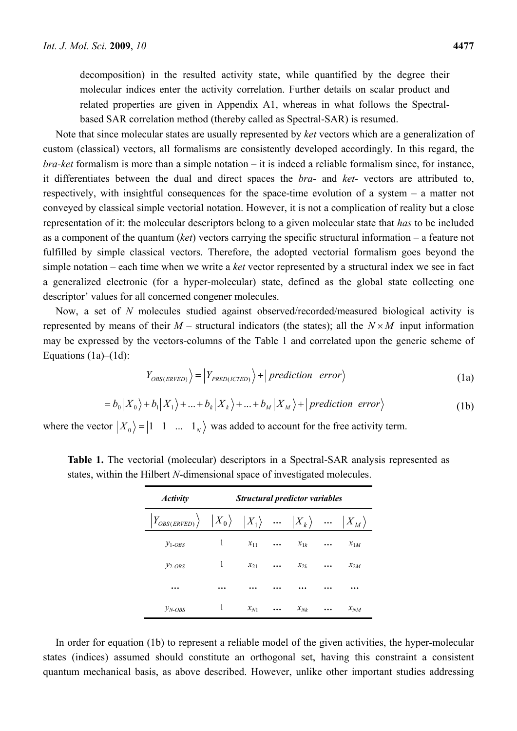decomposition) in the resulted activity state, while quantified by the degree their molecular indices enter the activity correlation. Further details on scalar product and related properties are given in Appendix A1, whereas in what follows the Spectralbased SAR correlation method (thereby called as Spectral-SAR) is resumed.

Note that since molecular states are usually represented by *ket* vectors which are a generalization of custom (classical) vectors, all formalisms are consistently developed accordingly. In this regard, the *bra-ket* formalism is more than a simple notation – it is indeed a reliable formalism since, for instance, it differentiates between the dual and direct spaces the *bra*- and *ket*- vectors are attributed to, respectively, with insightful consequences for the space-time evolution of a system – a matter not conveyed by classical simple vectorial notation. However, it is not a complication of reality but a close representation of it: the molecular descriptors belong to a given molecular state that *has* to be included as a component of the quantum (*ket*) vectors carrying the specific structural information – a feature not fulfilled by simple classical vectors. Therefore, the adopted vectorial formalism goes beyond the simple notation – each time when we write a *ket* vector represented by a structural index we see in fact a generalized electronic (for a hyper-molecular) state, defined as the global state collecting one descriptor' values for all concerned congener molecules.

Now, a set of *N* molecules studied against observed/recorded/measured biological activity is represented by means of their  $M$  – structural indicators (the states); all the  $N \times M$  input information may be expressed by the vectors-columns of the Table 1 and correlated upon the generic scheme of Equations  $(1a)$ – $(1d)$ :

$$
\left| Y_{OBS(ERVED)} \right\rangle = \left| Y_{PRED(ICTED)} \right\rangle + \left| \text{prediction error} \right\rangle \tag{1a}
$$

$$
= b_0 |X_0\rangle + b_1 |X_1\rangle + ... + b_k |X_k\rangle + ... + b_M |X_M\rangle + | prediction \ error \rangle
$$
 (1b)

where the vector  $|X_0\rangle = |1 \quad 1 \quad ... \quad 1_N\rangle$  was added to account for the free activity term.

| <b>Activity</b>                                                                                                                                                                         |   | <b>Structural predictor variables</b> |          |             |           |          |  |  |
|-----------------------------------------------------------------------------------------------------------------------------------------------------------------------------------------|---|---------------------------------------|----------|-------------|-----------|----------|--|--|
| $\left  Y_{OBS(ERVED)} \right\rangle \quad \left  X_{0} \right\rangle \quad \left  X_{1} \right\rangle \quad  \quad \left  X_{k} \right\rangle \quad  \quad \left  X_{M} \right\rangle$ |   |                                       |          |             |           |          |  |  |
| $y_{1-OBS}$                                                                                                                                                                             | 1 | $x_{11}$                              | $\cdots$ | $x_{1k}$    | $\cdots$  | $x_{1M}$ |  |  |
| $y_{2-OBS}$                                                                                                                                                                             | 1 | $x_{21}$                              | $\cdots$ | $\chi_{2k}$ | $\ddotsc$ | $x_{2M}$ |  |  |
| $\ddotsc$                                                                                                                                                                               |   |                                       |          |             |           |          |  |  |
| $y_{N-OBS}$                                                                                                                                                                             | 1 | $x_{N1}$                              |          | $x_{Nk}$    | $\cdots$  | $x_{NM}$ |  |  |

**Table 1.** The vectorial (molecular) descriptors in a Spectral-SAR analysis represented as states, within the Hilbert *N*-dimensional space of investigated molecules.

In order for equation (1b) to represent a reliable model of the given activities, the hyper-molecular states (indices) assumed should constitute an orthogonal set, having this constraint a consistent quantum mechanical basis, as above described. However, unlike other important studies addressing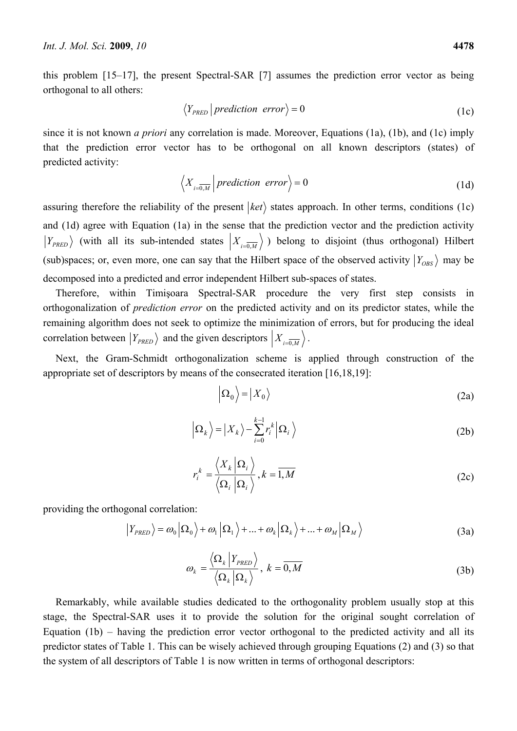this problem [15–17], the present Spectral-SAR [7] assumes the prediction error vector as being orthogonal to all others:

$$
\langle Y_{PRED} | prediction \ error \rangle = 0 \tag{1c}
$$

since it is not known *a priori* any correlation is made. Moreover, Equations (1a), (1b), and (1c) imply that the prediction error vector has to be orthogonal on all known descriptors (states) of predicted activity:

$$
\left\langle X_{i=\overline{0,M}}\right| prediction\ error\right\rangle = 0\tag{1d}
$$

assuring therefore the reliability of the present  $|ket\rangle$  states approach. In other terms, conditions (1c) and (1d) agree with Equation (1a) in the sense that the prediction vector and the prediction activity  $Y_{PRED}$  (with all its sub-intended states  $X_{i=0,M}$ ) belong to disjoint (thus orthogonal) Hilbert (sub)spaces; or, even more, one can say that the Hilbert space of the observed activity  $|Y_{OBS}\rangle$  may be decomposed into a predicted and error independent Hilbert sub-spaces of states.

Therefore, within Timişoara Spectral-SAR procedure the very first step consists in orthogonalization of *prediction error* on the predicted activity and on its predictor states, while the remaining algorithm does not seek to optimize the minimization of errors, but for producing the ideal correlation between  $|Y_{PRED}\rangle$  and the given descriptors  $|X_{i=0,M}\rangle$ .

Next, the Gram-Schmidt orthogonalization scheme is applied through construction of the appropriate set of descriptors by means of the consecrated iteration [16,18,19]:

$$
\left| \Omega_0 \right\rangle = \left| X_0 \right\rangle \tag{2a}
$$

$$
\left| \Omega_k \right\rangle = \left| X_k \right\rangle - \sum_{i=0}^{k-1} r_i^k \left| \Omega_i \right\rangle \tag{2b}
$$

$$
r_i^k = \frac{\langle X_k | \Omega_i \rangle}{\langle \Omega_i | \Omega_i \rangle}, k = \overline{1, M}
$$
 (2c)

providing the orthogonal correlation:

$$
\left| Y_{PRED} \right\rangle = \omega_0 \left| \Omega_0 \right\rangle + \omega_1 \left| \Omega_1 \right\rangle + \dots + \omega_k \left| \Omega_k \right\rangle + \dots + \omega_M \left| \Omega_M \right\rangle \tag{3a}
$$

$$
\omega_{k} = \frac{\langle \Omega_{k} | Y_{PRED} \rangle}{\langle \Omega_{k} | \Omega_{k} \rangle}, \ k = \overline{0, M}
$$
 (3b)

Remarkably, while available studies dedicated to the orthogonality problem usually stop at this stage, the Spectral-SAR uses it to provide the solution for the original sought correlation of Equation  $(1b)$  – having the prediction error vector orthogonal to the predicted activity and all its predictor states of Table 1. This can be wisely achieved through grouping Equations (2) and (3) so that the system of all descriptors of Table 1 is now written in terms of orthogonal descriptors: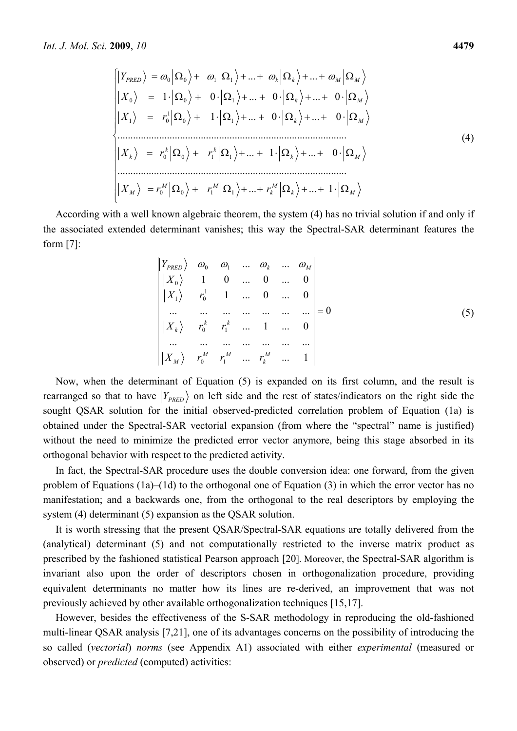$$
\begin{cases}\n|Y_{PRED}\rangle = \omega_0 |\Omega_0\rangle + \omega_1 |\Omega_1\rangle + ... + \omega_k |\Omega_k\rangle + ... + \omega_M |\Omega_M\rangle \\
|X_0\rangle = 1 \cdot |\Omega_0\rangle + 0 \cdot |\Omega_1\rangle + ... + 0 \cdot |\Omega_k\rangle + ... + 0 \cdot |\Omega_M\rangle \\
|X_1\rangle = r_0^1 |\Omega_0\rangle + 1 \cdot |\Omega_1\rangle + ... + 0 \cdot |\Omega_k\rangle + ... + 0 \cdot |\Omega_M\rangle \\
&\dots \\
|X_k\rangle = r_0^k |\Omega_0\rangle + r_1^k |\Omega_1\rangle + ... + 1 \cdot |\Omega_k\rangle + ... + 0 \cdot |\Omega_M\rangle \\
&\dots \\
|X_M\rangle = r_0^M |\Omega_0\rangle + r_1^M |\Omega_1\rangle + ... + r_k^M |\Omega_k\rangle + ... + 1 \cdot |\Omega_M\rangle\n\end{cases}
$$
\n(4)

According with a well known algebraic theorem, the system (4) has no trivial solution if and only if the associated extended determinant vanishes; this way the Spectral-SAR determinant features the form [7]:

$$
\begin{vmatrix} Y_{PRED} & \omega_0 & \omega_1 & \dots & \omega_k & \dots & \omega_M \\ |X_0\rangle & 1 & 0 & \dots & 0 & \dots & 0 \\ |X_1\rangle & r_0^1 & 1 & \dots & 0 & \dots & 0 \\ \dots & \dots & \dots & \dots & \dots & \dots & \dots \\ |X_k\rangle & r_0^k & r_1^k & \dots & 1 & \dots & 0 \\ \dots & \dots & \dots & \dots & \dots & \dots & \dots \\ |X_M\rangle & r_0^M & r_1^M & \dots & r_k^M & \dots & 1 \end{vmatrix} = 0
$$
 (5)

Now, when the determinant of Equation (5) is expanded on its first column, and the result is rearranged so that to have  $|Y_{PRED}\rangle$  on left side and the rest of states/indicators on the right side the sought QSAR solution for the initial observed-predicted correlation problem of Equation (1a) is obtained under the Spectral-SAR vectorial expansion (from where the "spectral" name is justified) without the need to minimize the predicted error vector anymore, being this stage absorbed in its orthogonal behavior with respect to the predicted activity.

In fact, the Spectral-SAR procedure uses the double conversion idea: one forward, from the given problem of Equations (1a)–(1d) to the orthogonal one of Equation (3) in which the error vector has no manifestation; and a backwards one, from the orthogonal to the real descriptors by employing the system (4) determinant (5) expansion as the QSAR solution.

It is worth stressing that the present QSAR/Spectral-SAR equations are totally delivered from the (analytical) determinant (5) and not computationally restricted to the inverse matrix product as prescribed by the fashioned statistical Pearson approach [20]. Moreover, the Spectral-SAR algorithm is invariant also upon the order of descriptors chosen in orthogonalization procedure, providing equivalent determinants no matter how its lines are re-derived, an improvement that was not previously achieved by other available orthogonalization techniques [15,17].

However, besides the effectiveness of the S-SAR methodology in reproducing the old-fashioned multi-linear QSAR analysis [7,21], one of its advantages concerns on the possibility of introducing the so called (*vectorial*) *norms* (see Appendix A1) associated with either *experimental* (measured or observed) or *predicted* (computed) activities: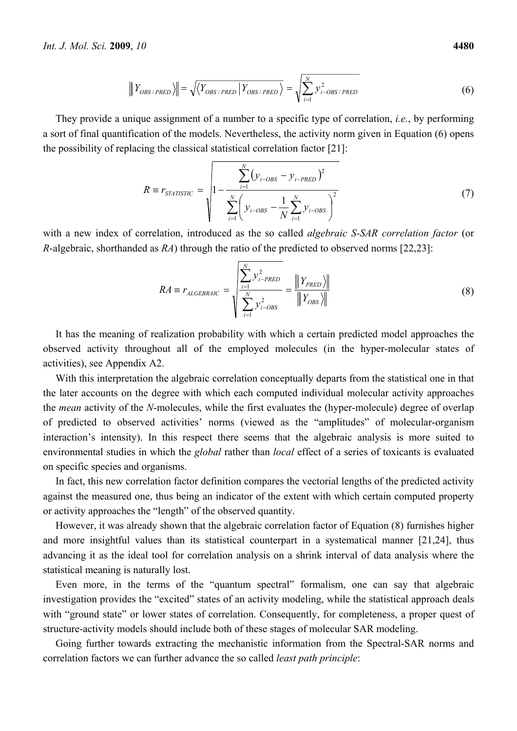$$
\|Y_{OBS/PRED}\rangle = \sqrt{\langle Y_{OBS/PRED} | Y_{OBS/PRED} \rangle} = \sqrt{\sum_{i=1}^{N} y_{i-OBS/PRED}^2}
$$
 (6)

They provide a unique assignment of a number to a specific type of correlation, *i.e.*, by performing a sort of final quantification of the models. Nevertheless, the activity norm given in Equation (6) opens the possibility of replacing the classical statistical correlation factor [21]:

$$
R \equiv r_{STATISTIC} = \sqrt{1 - \frac{\sum_{i=1}^{N} (y_{i-OBS} - y_{i-PRED})^2}{\sum_{i=1}^{N} \left( y_{i-OBS} - \frac{1}{N} \sum_{i=1}^{N} y_{i-OBS} \right)^2}}
$$
(7)

with a new index of correlation, introduced as the so called *algebraic S-SAR correlation factor* (or *R*-algebraic, shorthanded as *RA*) through the ratio of the predicted to observed norms [22,23]:

$$
RA \equiv r_{ALGEBRAIC} = \sqrt{\frac{\sum_{i=1}^{N} y_{i-PRED}^2}{\sum_{i=1}^{N} y_{i-OBS}^2}} = \frac{\| Y_{PRED} \rangle \|}{\| Y_{OBS} \rangle \|}
$$
(8)

It has the meaning of realization probability with which a certain predicted model approaches the observed activity throughout all of the employed molecules (in the hyper-molecular states of activities), see Appendix A2.

With this interpretation the algebraic correlation conceptually departs from the statistical one in that the later accounts on the degree with which each computed individual molecular activity approaches the *mean* activity of the *N*-molecules, while the first evaluates the (hyper-molecule) degree of overlap of predicted to observed activities' norms (viewed as the "amplitudes" of molecular-organism interaction's intensity). In this respect there seems that the algebraic analysis is more suited to environmental studies in which the *global* rather than *local* effect of a series of toxicants is evaluated on specific species and organisms.

In fact, this new correlation factor definition compares the vectorial lengths of the predicted activity against the measured one, thus being an indicator of the extent with which certain computed property or activity approaches the "length" of the observed quantity.

However, it was already shown that the algebraic correlation factor of Equation (8) furnishes higher and more insightful values than its statistical counterpart in a systematical manner [21,24], thus advancing it as the ideal tool for correlation analysis on a shrink interval of data analysis where the statistical meaning is naturally lost.

Even more, in the terms of the "quantum spectral" formalism, one can say that algebraic investigation provides the "excited" states of an activity modeling, while the statistical approach deals with "ground state" or lower states of correlation. Consequently, for completeness, a proper quest of structure-activity models should include both of these stages of molecular SAR modeling.

Going further towards extracting the mechanistic information from the Spectral-SAR norms and correlation factors we can further advance the so called *least path principle*: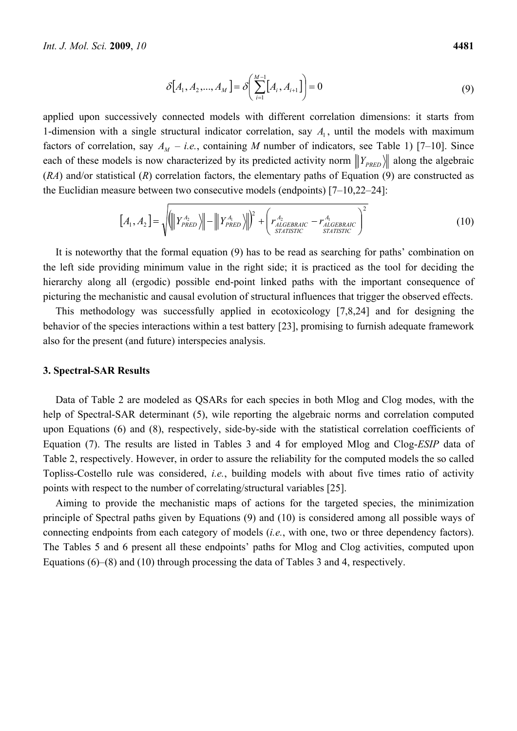$$
\delta[A_1, A_2, ..., A_M] = \delta\left(\sum_{i=1}^{M-1} [A_i, A_{i+1}]\right) = 0
$$
\n(9)

applied upon successively connected models with different correlation dimensions: it starts from 1-dimension with a single structural indicator correlation, say  $A_1$ , until the models with maximum factors of correlation, say  $A_M - i.e.$ , containing M number of indicators, see Table 1) [7–10]. Since each of these models is now characterized by its predicted activity norm  $||\mathbf{Y}_{PRED}||$  along the algebraic (*RA*) and/or statistical (*R*) correlation factors, the elementary paths of Equation (9) are constructed as the Euclidian measure between two consecutive models (endpoints) [7–10,22–24]:

$$
\left[A_1, A_2\right] = \sqrt{\left(\left\|Y_{PRED}^{A_2}\right\rangle\right\| - \left\|Y_{PRED}^{A_1}\right\rangle\right\|^2 + \left(r_{ALGEBRAIC}^{A_2} - r_{ALGEBRAIC}^{A_1}\right)^2}
$$
\n(10)

It is noteworthy that the formal equation (9) has to be read as searching for paths' combination on the left side providing minimum value in the right side; it is practiced as the tool for deciding the hierarchy along all (ergodic) possible end-point linked paths with the important consequence of picturing the mechanistic and causal evolution of structural influences that trigger the observed effects.

This methodology was successfully applied in ecotoxicology [7,8,24] and for designing the behavior of the species interactions within a test battery [23], promising to furnish adequate framework also for the present (and future) interspecies analysis.

#### **3. Spectral-SAR Results**

Data of Table 2 are modeled as QSARs for each species in both Mlog and Clog modes, with the help of Spectral-SAR determinant (5), wile reporting the algebraic norms and correlation computed upon Equations (6) and (8), respectively, side-by-side with the statistical correlation coefficients of Equation (7). The results are listed in Tables 3 and 4 for employed Mlog and Clog-*ESIP* data of Table 2, respectively. However, in order to assure the reliability for the computed models the so called Topliss-Costello rule was considered, *i.e.*, building models with about five times ratio of activity points with respect to the number of correlating/structural variables [25].

Aiming to provide the mechanistic maps of actions for the targeted species, the minimization principle of Spectral paths given by Equations (9) and (10) is considered among all possible ways of connecting endpoints from each category of models (*i.e.*, with one, two or three dependency factors). The Tables 5 and 6 present all these endpoints' paths for Mlog and Clog activities, computed upon Equations (6)–(8) and (10) through processing the data of Tables 3 and 4, respectively.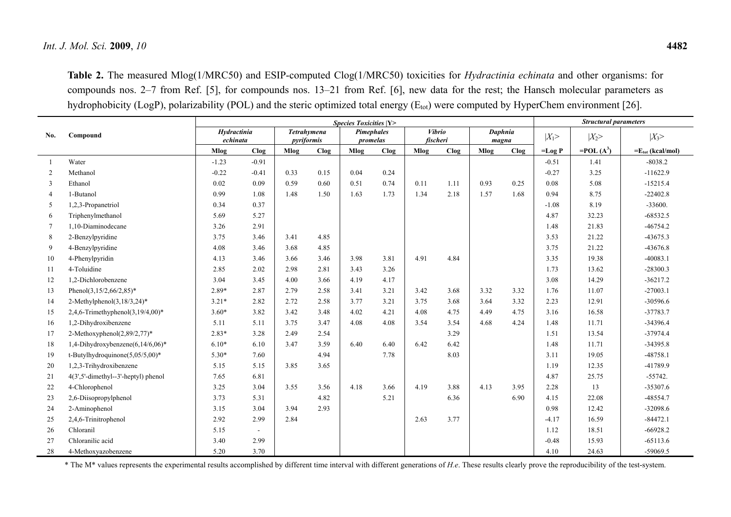**Table 2.** The measured Mlog(1/MRC50) and ESIP-computed Clog(1/MRC50) toxicities for *Hydractinia echinata* and other organisms: for compounds nos. 2–7 from Ref. [5], for compounds nos. 13–21 from Ref. [6], new data for the rest; the Hansch molecular parameters as hydrophobicity (LogP), polarizability (POL) and the steric optimized total energy ( $E_{tot}$ ) were computed by HyperChem environment [26].

|                |                                     | <b>Species Toxicities  Y&gt;</b> |         |                                  |      |                        |      |          |               |                  | <b>Structural parameters</b> |          |                 |                              |
|----------------|-------------------------------------|----------------------------------|---------|----------------------------------|------|------------------------|------|----------|---------------|------------------|------------------------------|----------|-----------------|------------------------------|
| No.            | Compound                            | Hydractinia<br>echinata          |         | <b>Tetrahymena</b><br>pyriformis |      | Pimephales<br>promelas |      | fischeri | <b>Vibrio</b> | Daphnia<br>magna |                              | $ X_1>$  | $ X_2>$         | $ X_3>$                      |
|                |                                     | Mlog                             | Clog    | Mlog                             | Clog | Mlog                   | Clog | Mlog     | Clog          | Mlog             | Clog                         | $-Log P$ | $=$ POL $(A^3)$ | $=E_{\text{tot}}$ (kcal/mol) |
|                | Water                               | $-1.23$                          | $-0.91$ |                                  |      |                        |      |          |               |                  |                              | $-0.51$  | 1.41            | $-8038.2$                    |
| 2              | Methanol                            | $-0.22$                          | $-0.41$ | 0.33                             | 0.15 | 0.04                   | 0.24 |          |               |                  |                              | $-0.27$  | 3.25            | $-11622.9$                   |
| 3              | Ethanol                             | 0.02                             | 0.09    | 0.59                             | 0.60 | 0.51                   | 0.74 | 0.11     | 1.11          | 0.93             | 0.25                         | 0.08     | 5.08            | $-15215.4$                   |
| $\overline{4}$ | 1-Butanol                           | 0.99                             | 1.08    | 1.48                             | 1.50 | 1.63                   | 1.73 | 1.34     | 2.18          | 1.57             | 1.68                         | 0.94     | 8.75            | $-22402.8$                   |
| 5              | 1,2,3-Propanetriol                  | 0.34                             | 0.37    |                                  |      |                        |      |          |               |                  |                              | $-1.08$  | 8.19            | $-33600.$                    |
| 6              | Triphenylmethanol                   | 5.69                             | 5.27    |                                  |      |                        |      |          |               |                  |                              | 4.87     | 32.23           | $-68532.5$                   |
| $\tau$         | 1,10-Diaminodecane                  | 3.26                             | 2.91    |                                  |      |                        |      |          |               |                  |                              | 1.48     | 21.83           | $-46754.2$                   |
| 8              | 2-Benzylpyridine                    | 3.75                             | 3.46    | 3.41                             | 4.85 |                        |      |          |               |                  |                              | 3.53     | 21.22           | $-43675.3$                   |
| 9              | 4-Benzylpyridine                    | 4.08                             | 3.46    | 3.68                             | 4.85 |                        |      |          |               |                  |                              | 3.75     | 21.22           | $-43676.8$                   |
| 10             | 4-Phenylpyridin                     | 4.13                             | 3.46    | 3.66                             | 3.46 | 3.98                   | 3.81 | 4.91     | 4.84          |                  |                              | 3.35     | 19.38           | $-40083.1$                   |
| 11             | 4-Toluidine                         | 2.85                             | 2.02    | 2.98                             | 2.81 | 3.43                   | 3.26 |          |               |                  |                              | 1.73     | 13.62           | $-28300.3$                   |
| 12             | 1,2-Dichlorobenzene                 | 3.04                             | 3.45    | 4.00                             | 3.66 | 4.19                   | 4.17 |          |               |                  |                              | 3.08     | 14.29           | $-36217.2$                   |
| 13             | Phenol $(3,15/2,66/2,85)^*$         | 2.89*                            | 2.87    | 2.79                             | 2.58 | 3.41                   | 3.21 | 3.42     | 3.68          | 3.32             | 3.32                         | 1.76     | 11.07           | $-27003.1$                   |
| 14             | $2-Methylphenol(3,18/3,24)*$        | $3.21*$                          | 2.82    | 2.72                             | 2.58 | 3.77                   | 3.21 | 3.75     | 3.68          | 3.64             | 3.32                         | 2.23     | 12.91           | $-30596.6$                   |
| 15             | 2,4,6-Trimethyphenol $(3,19/4,00)*$ | $3.60*$                          | 3.82    | 3.42                             | 3.48 | 4.02                   | 4.21 | 4.08     | 4.75          | 4.49             | 4.75                         | 3.16     | 16.58           | $-37783.7$                   |
| 16             | 1,2-Dihydroxibenzene                | 5.11                             | 5.11    | 3.75                             | 3.47 | 4.08                   | 4.08 | 3.54     | 3.54          | 4.68             | 4.24                         | 1.48     | 11.71           | $-34396.4$                   |
| 17             | 2-Methoxyphenol(2,89/2,77)*         | $2.83*$                          | 3.28    | 2.49                             | 2.54 |                        |      |          | 3.29          |                  |                              | 1.51     | 13.54           | $-37974.4$                   |
| 18             | 1,4-Dihydroxybenzene(6,14/6,06)*    | $6.10*$                          | 6.10    | 3.47                             | 3.59 | 6.40                   | 6.40 | 6.42     | 6.42          |                  |                              | 1.48     | 11.71           | $-34395.8$                   |
| 19             | t-Butylhydroquinone $(5,05/5,00)^*$ | $5.30*$                          | 7.60    |                                  | 4.94 |                        | 7.78 |          | 8.03          |                  |                              | 3.11     | 19.05           | $-48758.1$                   |
| 20             | 1,2,3-Trihydroxibenzene             | 5.15                             | 5.15    | 3.85                             | 3.65 |                        |      |          |               |                  |                              | 1.19     | 12.35           | -41789.9                     |
| 21             | 4(3',5'-dimethyl--3'-heptyl) phenol | 7.65                             | 6.81    |                                  |      |                        |      |          |               |                  |                              | 4.87     | 25.75           | $-55742.$                    |
| 22             | 4-Chlorophenol                      | 3.25                             | 3.04    | 3.55                             | 3.56 | 4.18                   | 3.66 | 4.19     | 3.88          | 4.13             | 3.95                         | 2.28     | 13              | $-35307.6$                   |
| 23             | 2,6-Diisopropylphenol               | 3.73                             | 5.31    |                                  | 4.82 |                        | 5.21 |          | 6.36          |                  | 6.90                         | 4.15     | 22.08           | $-48554.7$                   |
| 24             | 2-Aminophenol                       | 3.15                             | 3.04    | 3.94                             | 2.93 |                        |      |          |               |                  |                              | 0.98     | 12.42           | $-32098.6$                   |
| 25             | 2,4,6-Trinitrophenol                | 2.92                             | 2.99    | 2.84                             |      |                        |      | 2.63     | 3.77          |                  |                              | $-4.17$  | 16.59           | $-84472.1$                   |
| 26             | Chloranil                           | 5.15                             | $\sim$  |                                  |      |                        |      |          |               |                  |                              | 1.12     | 18.51           | $-66928.2$                   |
| 27             | Chloranilic acid                    | 3.40                             | 2.99    |                                  |      |                        |      |          |               |                  |                              | $-0.48$  | 15.93           | $-65113.6$                   |
| 28             | 4-Methoxyazobenzene                 | 5.20                             | 3.70    |                                  |      |                        |      |          |               |                  |                              | 4.10     | 24.63           | $-59069.5$                   |

\* The M\* values represents the experimental results accomplished by different time interval with different generations of *H.e*. These results clearly prove the reproducibility of the test-system.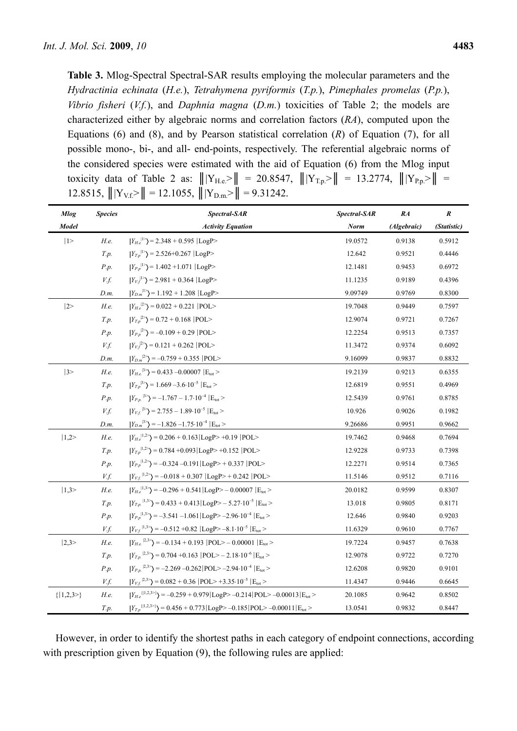**Table 3.** Mlog-Spectral Spectral-SAR results employing the molecular parameters and the *Hydractinia echinata* (*H.e.*), *Tetrahymena pyriformis* (*T.p.*), *Pimephales promelas* (*P.p.*), *Vibrio fisheri* (*V.f.*), and *Daphnia magna* (*D.m.*) toxicities of Table 2; the models are characterized either by algebraic norms and correlation factors (*RA*), computed upon the Equations (6) and (8), and by Pearson statistical correlation (*R*) of Equation (7), for all possible mono-, bi-, and all- end-points, respectively. The referential algebraic norms of the considered species were estimated with the aid of Equation (6) from the Mlog input toxicity data of Table 2 as:  $|||Y_{H,e}\rangle|| = 20.8547$ ,  $|||Y_{T,p}\rangle|| = 13.2774$ ,  $|||Y_{P,p}\rangle|| =$ 12.8515,  $|||Y_{V.f.}|| = 12.1055$ ,  $|||Y_{D.m.}|| = 9.31242$ .

| <b>Mlog</b>   | <b>Species</b> | Spectral-SAR                                                                                       | Spectral-SAR | RA          | $\pmb{R}$   |
|---------------|----------------|----------------------------------------------------------------------------------------------------|--------------|-------------|-------------|
| <b>Model</b>  |                | <b>Activity Equation</b>                                                                           | <b>Norm</b>  | (Algebraic) | (Statistic) |
| 1>            | H.e.           | $ Y_{He} ^{1}$ = 2.348 + 0.595  LogP>                                                              | 19.0572      | 0.9138      | 0.5912      |
|               | T.p.           | $ Y_{T,p} ^{1}$ = 2.526+0.267  LogP>                                                               | 12.642       | 0.9521      | 0.4446      |
|               | P.p.           | $ Y_{P,p} ^{1}$ = 1.402 +1.071  LogP>                                                              | 12.1481      | 0.9453      | 0.6972      |
|               | V.f.           | $ Y_{V_f} ^{1}$ = 2.981 + 0.364  LogP>                                                             | 11.1235      | 0.9189      | 0.4396      |
|               | D.m.           | $ Y_{D,m} ^2$ = 1.192 + 1.208  LogP>                                                               | 9.09749      | 0.9769      | 0.8300      |
| 2>            | H.e.           | $ Y_{He}^{2} \rangle$ = 0.022 + 0.221  POL>                                                        | 19.7048      | 0.9449      | 0.7597      |
|               | T.p.           | $ Y_{T,p} ^2$ = 0.72 + 0.168  POL>                                                                 | 12.9074      | 0.9721      | 0.7267      |
|               | P.p.           | $ Y_{P,p} ^2$ = -0.109 + 0.29  POL>                                                                | 12.2254      | 0.9513      | 0.7357      |
|               | V.f.           | $ Y_{Vf} ^2$ = 0.121 + 0.262  POL>                                                                 | 11.3472      | 0.9374      | 0.6092      |
|               | D.m.           | $ Y_{D,m} ^{2}$ = -0.759 + 0.355  POL>                                                             | 9.16099      | 0.9837      | 0.8832      |
| 3>            | H.e.           | $ Y_{He}^{3} \rangle$ = 0.433 -0.00007 $ E_{\text{tot}}$ >                                         | 19.2139      | 0.9213      | 0.6355      |
|               | T.p.           | $ Y_{T,p} ^{3}$ = 1.669 -3.6.10 <sup>-5</sup> $ E_{\text{tot}}$ >                                  | 12.6819      | 0.9551      | 0.4969      |
|               | P.p.           | $ Y_{P,p} ^{3}$ = -1.767 - 1.7.10 <sup>-4</sup> $ E_{\text{tot}}$ >                                | 12.5439      | 0.9761      | 0.8785      |
|               | V.f.           | $ Y_{Vf} ^{3}$ = 2.755 - 1.89.10 <sup>-5</sup> $ E_{\text{tot}}$ >                                 | 10.926       | 0.9026      | 0.1982      |
|               | D.m.           | $ Y_{D,m} ^{3}$ = -1.826 -1.75 · 10 <sup>-4</sup>   E <sub>tot</sub> >                             | 9.26686      | 0.9951      | 0.9662      |
| 1,2>          | H.e.           | $ Y_{He}^{(1,2)}\rangle$ = 0.206 + 0.163   LogP> +0.19   POL>                                      | 19.7462      | 0.9468      | 0.7694      |
|               | T.p.           | $ Y_{T,p} ^{1,2}$ = 0.784 +0.093 LogP> +0.152  POL>                                                | 12.9228      | 0.9733      | 0.7398      |
|               | P.p.           | $ Y_{P,p} ^{1,2}$ = -0.324 -0.191   LogP > + 0.337   POL >                                         | 12.2271      | 0.9514      | 0.7365      |
|               | V.f.           | $ Y_{V,f} ^{1,2}$ = -0.018 + 0.307  LogP> + 0.242  POL>                                            | 11.5146      | 0.9512      | 0.7116      |
| 1,3>          | H.e.           | $ Y_{He}^{(1,3)}\rangle$ = -0.296 + 0.541   LogP> - 0.00007   E <sub>tot</sub> >                   | 20.0182      | 0.9599      | 0.8307      |
|               | T.p.           | $ Y_{T,n} ^{1,3>}$ = 0.433 + 0.413   LogP > - 5.27.10 <sup>-5</sup>   E <sub>tot</sub> >           | 13.018       | 0.9805      | 0.8171      |
|               | P.p.           | $ Y_{P,p} ^{1,3>}$ = -3.541 -1.061   LogP> -2.96.10 <sup>-4</sup>   E <sub>tot</sub> >             | 12.646       | 0.9840      | 0.9203      |
|               | V.f.           | $ Y_{V,f} ^{1,3>}\rangle = -0.512 + 0.82  LogP> -8.1 \cdot 10^{-5}  E_{\text{tot}}>$               | 11.6329      | 0.9610      | 0.7767      |
| 2,3>          | H.e.           | $ Y_{He}^{(2,3)}\rangle$ = -0.134 + 0.193  POL> - 0.00001  E <sub>tot</sub> >                      | 19.7224      | 0.9457      | 0.7638      |
|               | T.p.           | $ Y_{T,n} ^{2,3>}=0.704+0.163$  POL> - 2.18.10 <sup>-6</sup>  E <sub>tot</sub> >                   | 12.9078      | 0.9722      | 0.7270      |
|               | P.p.           | $ Y_{P,n} ^{2,3}$ = -2.269 -0.262   POL> -2.94.10 <sup>-4</sup>   E <sub>tot</sub> >               | 12.6208      | 0.9820      | 0.9101      |
|               | V.f.           | $ Y_{V,f} ^{2,3>}\rangle$ = 0.082 + 0.36  POL> +3.35.10 <sup>-5</sup>  E <sub>tot</sub> >          | 11.4347      | 0.9446      | 0.6645      |
| ${  1,2,3> }$ | H.e.           | $ Y_{He}^{({1,2,3>})}\rangle$ = -0.259 + 0.979   LogP> -0.214   POL> -0.00013   E <sub>tot</sub> > | 20.1085      | 0.9642      | 0.8502      |
|               | T.p.           | $ Y_{T,p}^{\{1,2,3\}}\rangle$ = 0.456 + 0.773   LogP> -0.185   POL> -0.00011   E <sub>tot</sub> >  | 13.0541      | 0.9832      | 0.8447      |

However, in order to identify the shortest paths in each category of endpoint connections, according with prescription given by Equation (9), the following rules are applied: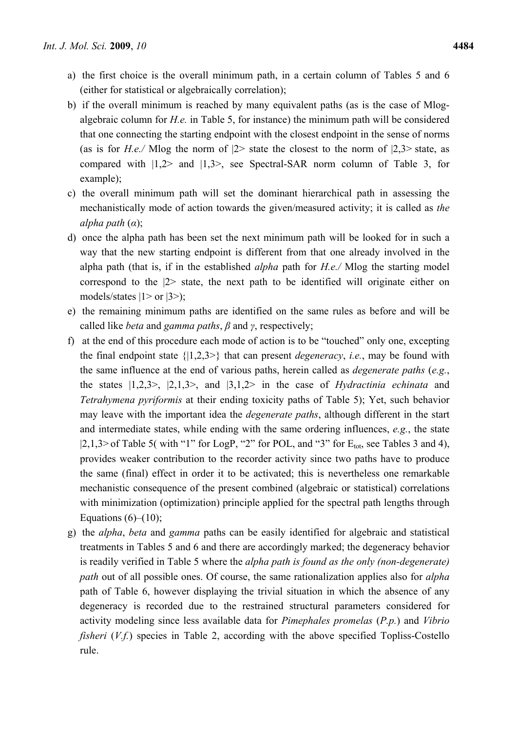- a) the first choice is the overall minimum path, in a certain column of Tables 5 and 6 (either for statistical or algebraically correlation);
- b) if the overall minimum is reached by many equivalent paths (as is the case of Mlogalgebraic column for *H.e.* in Table 5, for instance) the minimum path will be considered that one connecting the starting endpoint with the closest endpoint in the sense of norms (as is for *H.e.*/ Mlog the norm of  $|2$ > state the closest to the norm of  $|2,3$ > state, as compared with |1,2> and |1,3>, see Spectral-SAR norm column of Table 3, for example);
- c) the overall minimum path will set the dominant hierarchical path in assessing the mechanistically mode of action towards the given/measured activity; it is called as *the alpha path* (*α*);
- d) once the alpha path has been set the next minimum path will be looked for in such a way that the new starting endpoint is different from that one already involved in the alpha path (that is, if in the established *alpha* path for *H.e./* Mlog the starting model correspond to the |2> state, the next path to be identified will originate either on models/states  $|1>$  or  $|3>$ );
- e) the remaining minimum paths are identified on the same rules as before and will be called like *beta* and *gamma paths*, *β* and *γ*, respectively;
- f) at the end of this procedure each mode of action is to be "touched" only one, excepting the final endpoint state {|1,2,3>} that can present *degeneracy*, *i.e.*, may be found with the same influence at the end of various paths, herein called as *degenerate paths* (*e.g.*, the states |1,2,3>, |2,1,3>, and |3,1,2> in the case of *Hydractinia echinata* and *Tetrahymena pyriformis* at their ending toxicity paths of Table 5); Yet, such behavior may leave with the important idea the *degenerate paths*, although different in the start and intermediate states, while ending with the same ordering influences, *e.g.*, the state  $|2,1,3\rangle$  of Table 5( with "1" for LogP, "2" for POL, and "3" for  $E_{tot}$ , see Tables 3 and 4), provides weaker contribution to the recorder activity since two paths have to produce the same (final) effect in order it to be activated; this is nevertheless one remarkable mechanistic consequence of the present combined (algebraic or statistical) correlations with minimization (optimization) principle applied for the spectral path lengths through Equations  $(6)$ – $(10)$ ;
- g) the *alpha*, *beta* and *gamma* paths can be easily identified for algebraic and statistical treatments in Tables 5 and 6 and there are accordingly marked; the degeneracy behavior is readily verified in Table 5 where the *alpha path is found as the only (non-degenerate) path* out of all possible ones. Of course, the same rationalization applies also for *alpha* path of Table 6, however displaying the trivial situation in which the absence of any degeneracy is recorded due to the restrained structural parameters considered for activity modeling since less available data for *Pimephales promelas* (*P.p.*) and *Vibrio fisheri* (*V.f.*) species in Table 2, according with the above specified Topliss-Costello rule.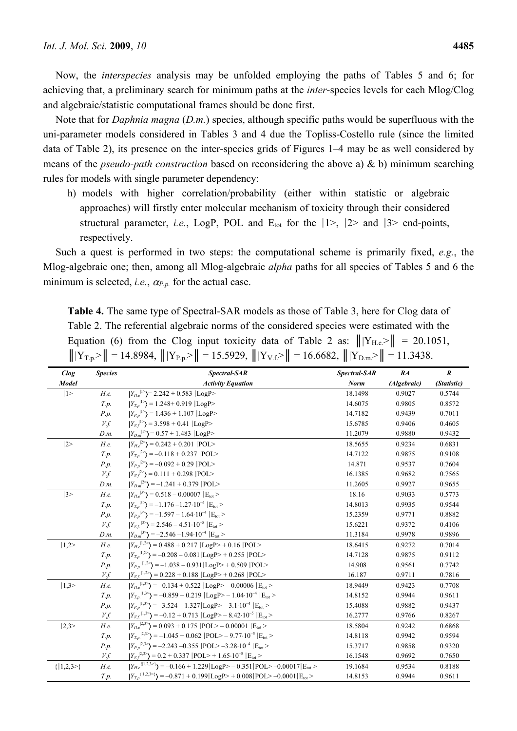Now, the *interspecies* analysis may be unfolded employing the paths of Tables 5 and 6; for achieving that, a preliminary search for minimum paths at the *inter*-species levels for each Mlog/Clog and algebraic/statistic computational frames should be done first.

Note that for *Daphnia magna* (*D.m.*) species, although specific paths would be superfluous with the uni-parameter models considered in Tables 3 and 4 due the Topliss-Costello rule (since the limited data of Table 2), its presence on the inter-species grids of Figures 1–4 may be as well considered by means of the *pseudo-path construction* based on reconsidering the above a) & b) minimum searching rules for models with single parameter dependency:

h) models with higher correlation/probability (either within statistic or algebraic approaches) will firstly enter molecular mechanism of toxicity through their considered structural parameter, *i.e.*, LogP, POL and  $E_{tot}$  for the  $|1\rangle$ ,  $|2\rangle$  and  $|3\rangle$  end-points, respectively.

Such a quest is performed in two steps: the computational scheme is primarily fixed, *e.g.*, the Mlog-algebraic one; then, among all Mlog-algebraic *alpha* paths for all species of Tables 5 and 6 the minimum is selected, *i.e.*,  $\alpha_{P,p}$  for the actual case.

**Table 4.** The same type of Spectral-SAR models as those of Table 3, here for Clog data of Table 2. The referential algebraic norms of the considered species were estimated with the Equation (6) from the Clog input toxicity data of Table 2 as:  $\|Y_{He}>\| = 20.1051$ ,  $|||Y_{T,p}\rangle|| = 14.8984$ ,  $|||Y_{P,p}\rangle|| = 15.5929$ ,  $|||Y_{V,f}\rangle|| = 16.6682$ ,  $|||Y_{D,m}\rangle|| = 11.3438$ .

| Clog          | <b>Species</b> | Spectral-SAR                                                                                                        | Spectral-SAR | RA          | $\boldsymbol{R}$ |
|---------------|----------------|---------------------------------------------------------------------------------------------------------------------|--------------|-------------|------------------|
| Model         |                | <b>Activity Equation</b>                                                                                            | <b>Norm</b>  | (Algebraic) | (Statistic)      |
| 1>            | H.e.           | $ Y_{He} ^{1>}=$ 2.242 + 0.583  LogP>                                                                               | 18.1498      | 0.9027      | 0.5744           |
|               | T.p.           | $ Y_{T,p} ^{1}$ = 1.248+ 0.919   LogP>                                                                              | 14.6075      | 0.9805      | 0.8572           |
|               | P.p.           | $ Y_{P,p} ^{1}$ = 1.436 + 1.107   LogP>                                                                             | 14.7182      | 0.9439      | 0.7011           |
|               | V.f.           | $ Y_{Vf} ^{1}$ = 3.598 + 0.41  LogP>                                                                                | 15.6785      | 0.9406      | 0.4605           |
|               | D.m.           | $ Y_{D,m} ^2$ = 0.57 + 1.483  LogP>                                                                                 | 11.2079      | 0.9880      | 0.9432           |
| 2>            | H.e.           | $ Y_{He}^{2} \rangle = 0.242 + 0.201$  POL>                                                                         | 18.5655      | 0.9234      | 0.6831           |
|               | T.p.           | $ Y_{T,p} ^{2}$ = -0.118 + 0.237  POL>                                                                              | 14.7122      | 0.9875      | 0.9108           |
|               | P.p.           | $ Y_{P,p} ^2$ = -0.092 + 0.29  POL>                                                                                 | 14.871       | 0.9537      | 0.7604           |
|               | V.f.           | $ Y_{Vf} ^2$ = 0.111 + 0.298  POL>                                                                                  | 16.1385      | 0.9682      | 0.7565           |
|               | D.m.           | $ Y_{D,m} ^2$ = -1.241 + 0.379  POL>                                                                                | 11.2605      | 0.9927      | 0.9655           |
| 3>            | H.e.           | $ Y_{He}^{3} \rangle = 0.518 - 0.00007$ $ E_{tot}\rangle$                                                           | 18.16        | 0.9033      | 0.5773           |
|               | T.p.           | $ Y_{T,p} ^{3}$ = -1.176 -1.27.10 <sup>-4</sup> $ E_{\text{tot}}$ >                                                 | 14.8013      | 0.9935      | 0.9544           |
|               | P.p.           | $ Y_{P,p} ^{3}$ = -1.597 - 1.64·10 <sup>-4</sup> $ E_{\text{tot}}$ >                                                | 15.2359      | 0.9771      | 0.8882           |
|               | V.f.           | $ Y_{V,f} ^{3}$ = 2.546 – 4.51.10 <sup>-5</sup> $ E_{tot}$ >                                                        | 15.6221      | 0.9372      | 0.4106           |
|               | D.m.           | $ Y_{D,m} ^{3}$ = -2.546 -1.94.10 <sup>-4</sup> $ E_{\text{tot}}$ >                                                 | 11.3184      | 0.9978      | 0.9896           |
| 1,2>          | H.e.           | $ Y_{He}^{(1,2)}\rangle$ = 0.488 + 0.217  LogP> + 0.16  POL>                                                        | 18.6415      | 0.9272      | 0.7014           |
|               | T.p.           | $ Y_{T,p} ^{1,2}$ = -0.208 - 0.081   LogP > + 0.255   POL >                                                         | 14.7128      | 0.9875      | 0.9112           |
|               | P.p.           | $ Y_{P,D} ^{1,2}$ = -1.038 - 0.931   LogP> + 0.509   POL>                                                           | 14.908       | 0.9561      | 0.7742           |
|               | V.f.           | $ Y_{V,f} ^{1,2}$ = 0.228 + 0.188  LogP> + 0.268  POL>                                                              | 16.187       | 0.9711      | 0.7816           |
| 1,3>          | H.e.           | $ Y_{He}^{(1,3)}\rangle$ = -0.134 + 0.522  LogP> - 0.00006  E <sub>tot</sub> >                                      | 18.9449      | 0.9423      | 0.7708           |
|               | T.p.           | $ Y_{T,n} ^{1,3>}=$ $-0.859 + 0.219$ $ LogP> - 1.04 \cdot 10^{-4}$ $ E_{tot}>$                                      | 14.8152      | 0.9944      | 0.9611           |
|               | P.p.           | $ Y_{P,p} ^{1,3>}\rangle = -3.524 - 1.327 LogP> - 3.1 \cdot 10^{-4}  E_{tot}>$                                      | 15.4088      | 0.9882      | 0.9437           |
|               | V.f.           | $ Y_{V.f} ^{1,3>}\rangle = -0.12 + 0.713  LogP> - 8.42 \cdot 10^{-5}  E_{tot}>$                                     | 16.2777      | 0.9766      | 0.8267           |
| 2,3>          | H.e.           | $ Y_{He}^{2,3>}\rangle$ = 0.093 + 0.175  POL> - 0.00001  E <sub>tot</sub> >                                         | 18.5804      | 0.9242      | 0.6868           |
|               | T.p.           | $ Y_{T,n} ^{2,3>}\rangle = -1.045 + 0.062$  POL> - 9.77.10 <sup>-5</sup>  E <sub>tot</sub> >                        | 14.8118      | 0.9942      | 0.9594           |
|               | P.p.           | $ Y_{P,n} ^{2,3>}\rangle = -2.243 - 0.355$  POL> $-3.28 \cdot 10^{-4}$  E <sub>tot</sub> >                          | 15.3717      | 0.9858      | 0.9320           |
|               | V.f.           | $ Y_{Vf}^{2,3>}\rangle$ = 0.2 + 0.337  POL> + 1.65 $\cdot$ 10 <sup>-5</sup>  E <sub>tot</sub> >                     | 16.1548      | 0.9692      | 0.7650           |
| $\{ 1,2,3>\}$ | H.e.           | $ Y_{He}^{(1,2,3>)}\rangle$ = -0.166 + 1.229 LogP> - 0.351   POL> -0.00017   E <sub>tot</sub> >                     | 19.1684      | 0.9534      | 0.8188           |
|               | T.p.           | $ Y_{T,p}^{\{11,2,3\geq\}}\rangle = -0.871 + 0.199 \text{LogP}> + 0.008 \text{POL}> -0.0001 \text{E}_{\text{tot}}>$ | 14.8153      | 0.9944      | 0.9611           |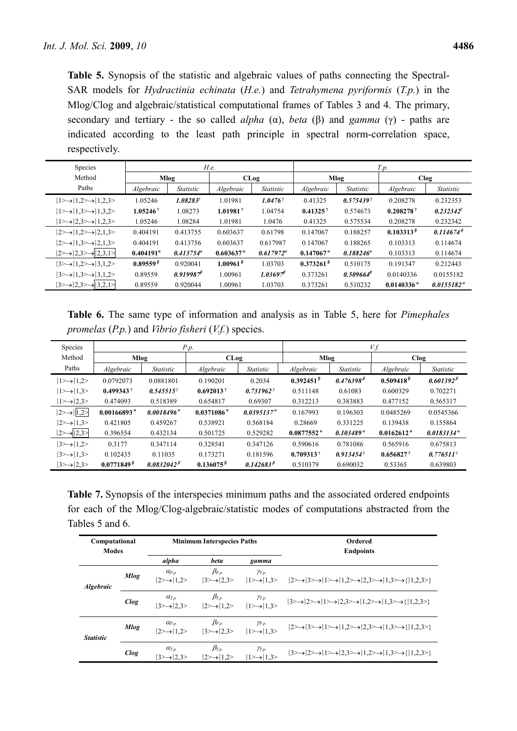**Table 5.** Synopsis of the statistic and algebraic values of paths connecting the Spectral-SAR models for *Hydractinia echinata* (*H.e.*) and *Tetrahymena pyriformis* (*T.p.*) in the Mlog/Clog and algebraic/statistical computational frames of Tables 3 and 4. The primary, secondary and tertiary - the so called *alpha* (α), *beta* (β) and *gamma* (γ) - paths are indicated according to the least path principle in spectral norm-correlation space, respectively.

| <b>Species</b>                                                   |                     |                      | H.e.                    |                     | T.p.                   |                    |                         |                       |  |
|------------------------------------------------------------------|---------------------|----------------------|-------------------------|---------------------|------------------------|--------------------|-------------------------|-----------------------|--|
| Method                                                           |                     | Mlog                 |                         | CLog                |                        | Mlog               |                         | Clog                  |  |
| Paths                                                            | Algebraic           | <i>Statistic</i>     | Algebraic               | <i>Statistic</i>    | Algebraic              | Statistic          | Algebraic               | <i>Statistic</i>      |  |
| $ 1 \rangle \rightarrow  1,2 \rangle \rightarrow  1,2,3 \rangle$ | 1.05246             | 1.08283 <sup>7</sup> | 1.01981                 | 1.04767             | 0.41325                | 0.5754397          | 0.208278                | 0.232353              |  |
| $ 1 \rangle \rightarrow  1,3 \rangle \rightarrow  1,3,2 \rangle$ | $1.05246^{\gamma}$  | 1.08273              | $1.01981$ <sup>7</sup>  | 1.04754             | $0.41325^{\gamma}$     | 0.574673           | $0.208278$ <sup>7</sup> | 0.232342 <sup>7</sup> |  |
| $ 1 \rangle \rightarrow  2,3 \rangle \rightarrow  1,2,3 \rangle$ | 1.05246             | 1.08284              | 1.01981                 | 1.0476              | 0.41325                | 0.575534           | 0.208278                | 0.232342              |  |
| $ 2\rightarrow 1,2\rightarrow 2,1,3\rightarrow $                 | 0.404191            | 0.413755             | 0.603637                | 0.61798             | 0.147067               | 0.188257           | $0.103313^{p}$          | $0.114674^{\beta}$    |  |
| $ 2\rightarrow 1,3\rightarrow 2,1,3\rightarrow $                 | 0.404191            | 0.413756             | 0.603637                | 0.617987            | 0.147067               | 0.188265           | 0.103313                | 0.114674              |  |
| $ 2 \rightarrow  2,3 \rightarrow  2,3,1 \rightarrow$             | $0.404191^{\alpha}$ | $0.413754^{\circ}$   | $0.603637$ <sup>a</sup> | $0.617972^{\alpha}$ | $0.147067$ $^{\alpha}$ | $0.188246^a$       | 0.103313                | 0.114674              |  |
| $ 3\rightarrow 1,2\rightarrow 3,1,2\rightarrow $                 | $0.89559^{\beta}$   | 0.920041             | 1.00961 <sup>β</sup>    | 1.03703             | $0.373261^{\beta}$     | 0.510175           | 0.191347                | 0.212443              |  |
| $ 3\rightarrow 1,3\rightarrow 3,1,2\rightarrow $                 | 0.89559             | $0.919987^{\beta}$   | 1.00961                 | $1.03697^{\beta}$   | 0.373261               | $0.509664^{\beta}$ | 0.0140336               | 0.0155182             |  |
| $ 3 \rightarrow 2,3 \rightarrow  3,2,1 \rightarrow$              | 0.89559             | 0.920044             | 1.00961                 | 1.03703             | 0.373261               | 0.510232           | 0.0140336               | $0.0155182^{\alpha}$  |  |

**Table 6.** The same type of information and analysis as in Table 5, here for *Pimephales promelas* (*P.p.*) and *Vibrio fisheri* (*V.f.*) species.

| <b>Species</b>                                |                         |                        | P.p.                    |                       | V.f.                                     |                                          |                         |                      |  |  |
|-----------------------------------------------|-------------------------|------------------------|-------------------------|-----------------------|------------------------------------------|------------------------------------------|-------------------------|----------------------|--|--|
| Method                                        | Mlog                    |                        | CLog                    |                       | Mlog                                     |                                          | <b>Clog</b>             |                      |  |  |
| Paths                                         | Algebraic               | <i>Statistic</i>       | Algebraic               | <i>Statistic</i>      | Algebraic                                | <i>Statistic</i>                         | Algebraic               | <i>Statistic</i>     |  |  |
| $ 1 \rangle \rightarrow  1,2 \rangle$         | 0.0792073               | 0.0881801              | 0.190201                | 0.2034                | $0.392451$ <sup><math>\beta</math></sup> | $0.476398$ <sup><math>\beta</math></sup> | $0.509418^{\beta}$      | $0.601392\beta$      |  |  |
| $ 1 \rangle \rightarrow  1,3 \rangle$         | $0.499343$ <sup>7</sup> | $0.545515^{\gamma}$    | $0.692013$ <sup>7</sup> | $0.731962^{\gamma}$   | 0.511148                                 | 0.61083                                  | 0.600329                | 0.702271             |  |  |
| $ 1 \rangle \rightarrow  2,3 \rangle$         | 0.474093                | 0.518389               | 0.654817                | 0.69307               | 0.312213                                 | 0.383883                                 | 0.477152                | 0.565317             |  |  |
| $ 2\rightarrow 1,2\rightarrow $               | $0.00166893$ "          | $0.0018496^{\alpha}$   | $0.0371086$ "           | $0.0395137^{\alpha}$  | 0.167993                                 | 0.196303                                 | 0.0485269               | 0.0545366            |  |  |
| $ 2\rightarrow 1,3\rangle$                    | 0.421805                | 0.459267               | 0.538921                | 0.568184              | 0.28669                                  | 0.331225                                 | 0.139438                | 0.155864             |  |  |
| $ 2 \rightarrow  2,3 \rightarrow  $           | 0.396554                | 0.432134               | 0.501725                | 0.529282              | $0.0877552$ "                            | $0.103489^{\alpha}$                      | $0.0162612$ $^{\alpha}$ | $0.0183134^{\alpha}$ |  |  |
| $ 3\rightarrow 1,2\rightarrow $               | 0.3177                  | 0.347114               | 0.328541                | 0.347126              | 0.590616                                 | 0.781086                                 | 0.565916                | 0.675813             |  |  |
| $ 3\rightarrow 1,3\rangle$                    | 0.102435                | 0.11035                | 0.173271                | 0.181596              | $0.709313$ <sup>7</sup>                  | $0.913454^{\gamma}$                      | $0.656827^{\gamma}$     | 0.776511'            |  |  |
| $ 3 \rightarrow \rightarrow  2,3 \rightarrow$ | $0.0771849^{\,p}$       | 0.0832042 <sup>β</sup> | $0.136075^{\,6}$        | 0.142683 <sup>β</sup> | 0.510379                                 | 0.690032                                 | 0.53365                 | 0.639803             |  |  |

**Table 7.** Synopsis of the interspecies minimum paths and the associated ordered endpoints for each of the Mlog/Clog-algebraic/statistic modes of computations abstracted from the Tables 5 and 6.

| Computational<br><b>Modes</b> |             |                                                    | <b>Minimum Interspecies Paths</b>                               |                                                          | Ordered<br><b>Endpoints</b>                                                                                            |  |  |
|-------------------------------|-------------|----------------------------------------------------|-----------------------------------------------------------------|----------------------------------------------------------|------------------------------------------------------------------------------------------------------------------------|--|--|
|                               |             | alpha                                              | <b>beta</b>                                                     | gamma                                                    |                                                                                                                        |  |  |
| <b>Algebraic</b>              | <b>Mlog</b> | $\alpha_{P.p.}$<br>$ 2\rightarrow 1,2\rightarrow $ | $\beta_{P.p.}$<br>$ 3 \rightarrow  2,3 \rangle$                 | $\gamma_{T.p.}$<br>$ 1 \rangle \rightarrow  1,3 \rangle$ | $ 2\rightarrow 3\rightarrow 1\rightarrow 1,2\rightarrow 2,3\rightarrow 1,3\rightarrow 1,2,3\rightarrow $               |  |  |
|                               | Clog        | $\alpha_{T.p.}$<br>$ 3 \rightarrow  2,3 \rangle$   | $\beta_{T.p.}$<br>$ 2\rightarrow 1,2\rangle$                    | $\gamma_{T.p.}$<br>$ 1 \rangle \rightarrow  1,3 \rangle$ | $ 3 \rightarrow  2 \rightarrow  1 \rightarrow  2,3 \rightarrow  1,2 \rightarrow  1,3 \rightarrow  1,2,3 \rightarrow  $ |  |  |
| <b>Statistic</b>              | <b>Mlog</b> | $\alpha_{P.p.}$<br>$ 2\rightarrow 1,2\rightarrow $ | $\beta_{P.p.}$<br>$ 3 \rightarrow \rightarrow  2,3 \rightarrow$ | $\gamma_{P.p.}$<br>$ 1 \rangle \rightarrow  1,3 \rangle$ | $ 2\rightarrow 3\rightarrow 1\rightarrow 1,2\rightarrow 2,3\rightarrow 1,3\rightarrow 1,2,3\rightarrow $               |  |  |
|                               | <b>Clog</b> | $\alpha_{T.p.}$<br>$3 \rightarrow 2,3 \rightarrow$ | $\beta_{T.p.}$<br>$2 \rightarrow 1,2 \rightarrow$               | $\gamma_{T.p.}$<br>$ 1 \rangle \rightarrow  1,3 \rangle$ | $ 3\rightarrow 2\rightarrow 1\rightarrow 2,3\rightarrow 1,2\rightarrow 1,3\rightarrow 1,2,3\rightarrow $               |  |  |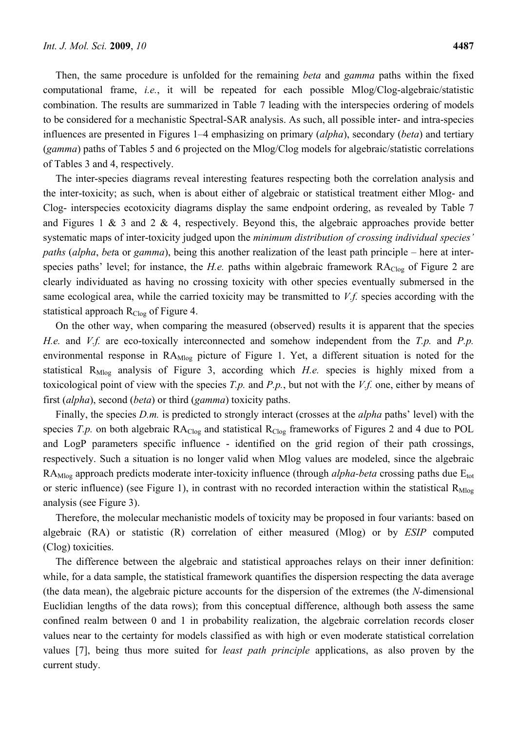Then, the same procedure is unfolded for the remaining *beta* and *gamma* paths within the fixed computational frame, *i.e.*, it will be repeated for each possible Mlog/Clog-algebraic/statistic combination. The results are summarized in Table 7 leading with the interspecies ordering of models to be considered for a mechanistic Spectral-SAR analysis. As such, all possible inter- and intra-species influences are presented in Figures 1–4 emphasizing on primary (*alpha*), secondary (*beta*) and tertiary (*gamma*) paths of Tables 5 and 6 projected on the Mlog/Clog models for algebraic/statistic correlations of Tables 3 and 4, respectively.

The inter-species diagrams reveal interesting features respecting both the correlation analysis and the inter-toxicity; as such, when is about either of algebraic or statistical treatment either Mlog- and Clog- interspecies ecotoxicity diagrams display the same endpoint ordering, as revealed by Table 7 and Figures 1 & 3 and 2 & 4, respectively. Beyond this, the algebraic approaches provide better systematic maps of inter-toxicity judged upon the *minimum distribution of crossing individual species' paths* (*alpha*, *bet*a or *gamma*), being this another realization of the least path principle – here at interspecies paths' level; for instance, the *H.e.* paths within algebraic framework RA<sub>Clog</sub> of Figure 2 are clearly individuated as having no crossing toxicity with other species eventually submersed in the same ecological area, while the carried toxicity may be transmitted to *V.f.* species according with the statistical approach  $R_{Clog}$  of Figure 4.

On the other way, when comparing the measured (observed) results it is apparent that the species *H.e.* and *V.f.* are eco-toxically interconnected and somehow independent from the *T.p.* and *P.p.* environmental response in RA<sub>Mlog</sub> picture of Figure 1. Yet, a different situation is noted for the statistical R<sub>Mlog</sub> analysis of Figure 3, according which *H.e.* species is highly mixed from a toxicological point of view with the species *T.p.* and *P.p.*, but not with the *V.f.* one, either by means of first (*alpha*), second (*beta*) or third (*gamma*) toxicity paths.

Finally, the species *D.m.* is predicted to strongly interact (crosses at the *alpha* paths' level) with the species *T.p.* on both algebraic  $RA_{Clog}$  and statistical  $R_{Clog}$  frameworks of Figures 2 and 4 due to POL and LogP parameters specific influence - identified on the grid region of their path crossings, respectively. Such a situation is no longer valid when Mlog values are modeled, since the algebraic RA<sub>Mlog</sub> approach predicts moderate inter-toxicity influence (through *alpha-beta* crossing paths due E<sub>tot</sub> or steric influence) (see Figure 1), in contrast with no recorded interaction within the statistical  $R_{Mlog}$ analysis (see Figure 3).

Therefore, the molecular mechanistic models of toxicity may be proposed in four variants: based on algebraic (RA) or statistic (R) correlation of either measured (Mlog) or by *ESIP* computed (Clog) toxicities.

The difference between the algebraic and statistical approaches relays on their inner definition: while, for a data sample, the statistical framework quantifies the dispersion respecting the data average (the data mean), the algebraic picture accounts for the dispersion of the extremes (the *N*-dimensional Euclidian lengths of the data rows); from this conceptual difference, although both assess the same confined realm between 0 and 1 in probability realization, the algebraic correlation records closer values near to the certainty for models classified as with high or even moderate statistical correlation values [7], being thus more suited for *least path principle* applications, as also proven by the current study.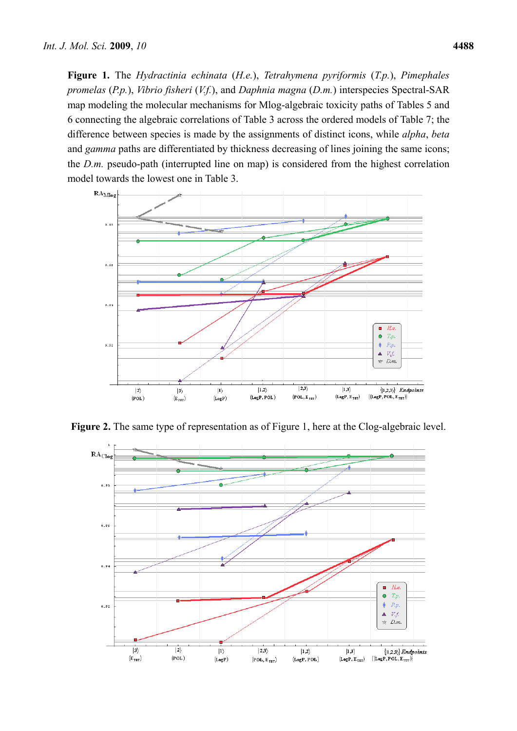**Figure 1.** The *Hydractinia echinata* (*H.e.*), *Tetrahymena pyriformis* (*T.p.*), *Pimephales promelas* (*P.p.*), *Vibrio fisheri* (*V.f.*), and *Daphnia magna* (*D.m.*) interspecies Spectral-SAR map modeling the molecular mechanisms for Mlog-algebraic toxicity paths of Tables 5 and 6 connecting the algebraic correlations of Table 3 across the ordered models of Table 7; the difference between species is made by the assignments of distinct icons, while *alpha*, *beta* and *gamma* paths are differentiated by thickness decreasing of lines joining the same icons; the *D.m.* pseudo-path (interrupted line on map) is considered from the highest correlation model towards the lowest one in Table 3.



Figure 2. The same type of representation as of Figure 1, here at the Clog-algebraic level.

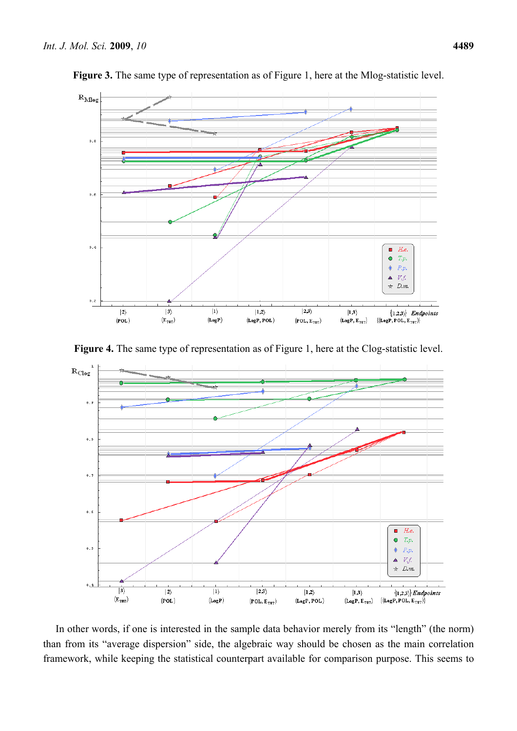

**Figure 3.** The same type of representation as of Figure 1, here at the Mlog-statistic level.





In other words, if one is interested in the sample data behavior merely from its "length" (the norm) than from its "average dispersion" side, the algebraic way should be chosen as the main correlation framework, while keeping the statistical counterpart available for comparison purpose. This seems to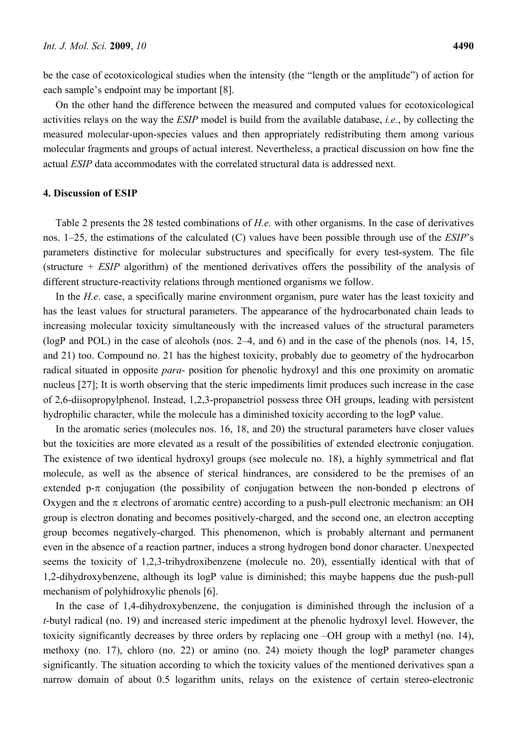be the case of ecotoxicological studies when the intensity (the "length or the amplitude") of action for each sample's endpoint may be important [8].

On the other hand the difference between the measured and computed values for ecotoxicological activities relays on the way the *ESIP* model is build from the available database, *i.e.*, by collecting the measured molecular-upon-species values and then appropriately redistributing them among various molecular fragments and groups of actual interest. Nevertheless, a practical discussion on how fine the actual *ESIP* data accommodates with the correlated structural data is addressed next.

### **4. Discussion of ESIP**

Table 2 presents the 28 tested combinations of *H.e.* with other organisms. In the case of derivatives nos. 1–25, the estimations of the calculated (C) values have been possible through use of the *ESIP*'s parameters distinctive for molecular substructures and specifically for every test-system. The file (structure + *ESIP* algorithm) of the mentioned derivatives offers the possibility of the analysis of different structure-reactivity relations through mentioned organisms we follow.

In the *H.e*. case, a specifically marine environment organism, pure water has the least toxicity and has the least values for structural parameters. The appearance of the hydrocarbonated chain leads to increasing molecular toxicity simultaneously with the increased values of the structural parameters (logP and POL) in the case of alcohols (nos. 2–4, and 6) and in the case of the phenols (nos. 14, 15, and 21) too. Compound no. 21 has the highest toxicity, probably due to geometry of the hydrocarbon radical situated in opposite *para*- position for phenolic hydroxyl and this one proximity on aromatic nucleus [27]; It is worth observing that the steric impediments limit produces such increase in the case of 2,6-diisopropylphenol. Instead, 1,2,3-propanetriol possess three OH groups, leading with persistent hydrophilic character, while the molecule has a diminished toxicity according to the logP value.

In the aromatic series (molecules nos. 16, 18, and 20) the structural parameters have closer values but the toxicities are more elevated as a result of the possibilities of extended electronic conjugation. The existence of two identical hydroxyl groups (see molecule no. 18), a highly symmetrical and flat molecule, as well as the absence of sterical hindrances, are considered to be the premises of an extended p- $\pi$  conjugation (the possibility of conjugation between the non-bonded p electrons of Oxygen and the  $\pi$  electrons of aromatic centre) according to a push-pull electronic mechanism: an OH group is electron donating and becomes positively-charged, and the second one, an electron accepting group becomes negatively-charged. This phenomenon, which is probably alternant and permanent even in the absence of a reaction partner, induces a strong hydrogen bond donor character. Unexpected seems the toxicity of 1,2,3-trihydroxibenzene (molecule no. 20), essentially identical with that of 1,2-dihydroxybenzene, although its logP value is diminished; this maybe happens due the push-pull mechanism of polyhidroxylic phenols [6].

In the case of 1,4-dihydroxybenzene, the conjugation is diminished through the inclusion of a *t*-butyl radical (no. 19) and increased steric impediment at the phenolic hydroxyl level. However, the toxicity significantly decreases by three orders by replacing one –OH group with a methyl (no. 14), methoxy (no. 17), chloro (no. 22) or amino (no. 24) moiety though the logP parameter changes significantly. The situation according to which the toxicity values of the mentioned derivatives span a narrow domain of about 0.5 logarithm units, relays on the existence of certain stereo-electronic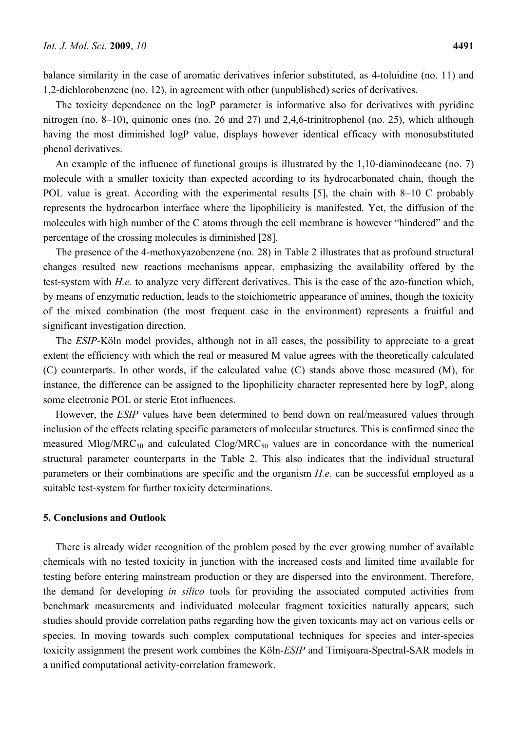balance similarity in the case of aromatic derivatives inferior substituted, as 4-toluidine (no. 11) and 1,2-dichlorobenzene (no. 12), in agreement with other (unpublished) series of derivatives.

The toxicity dependence on the logP parameter is informative also for derivatives with pyridine nitrogen (no. 8–10), quinonic ones (no. 26 and 27) and 2,4,6-trinitrophenol (no. 25), which although having the most diminished logP value, displays however identical efficacy with monosubstituted phenol derivatives.

An example of the influence of functional groups is illustrated by the 1,10-diaminodecane (no. 7) molecule with a smaller toxicity than expected according to its hydrocarbonated chain, though the POL value is great. According with the experimental results [5], the chain with 8–10 C probably represents the hydrocarbon interface where the lipophilicity is manifested. Yet, the diffusion of the molecules with high number of the C atoms through the cell membrane is however "hindered" and the percentage of the crossing molecules is diminished [28].

The presence of the 4-methoxyazobenzene (no. 28) in Table 2 illustrates that as profound structural changes resulted new reactions mechanisms appear, emphasizing the availability offered by the test-system with *H.e.* to analyze very different derivatives. This is the case of the azo-function which, by means of enzymatic reduction, leads to the stoichiometric appearance of amines, though the toxicity of the mixed combination (the most frequent case in the environment) represents a fruitful and significant investigation direction.

The *ESIP*-Köln model provides, although not in all cases, the possibility to appreciate to a great extent the efficiency with which the real or measured M value agrees with the theoretically calculated (C) counterparts. In other words, if the calculated value (C) stands above those measured (M), for instance, the difference can be assigned to the lipophilicity character represented here by logP, along some electronic POL or steric Etot influences.

However, the *ESIP* values have been determined to bend down on real/measured values through inclusion of the effects relating specific parameters of molecular structures. This is confirmed since the measured Mlog/MRC<sub>50</sub> and calculated Clog/MRC<sub>50</sub> values are in concordance with the numerical structural parameter counterparts in the Table 2. This also indicates that the individual structural parameters or their combinations are specific and the organism *H.e.* can be successful employed as a suitable test-system for further toxicity determinations.

## **5. Conclusions and Outlook**

There is already wider recognition of the problem posed by the ever growing number of available chemicals with no tested toxicity in junction with the increased costs and limited time available for testing before entering mainstream production or they are dispersed into the environment. Therefore, the demand for developing *in silico* tools for providing the associated computed activities from benchmark measurements and individuated molecular fragment toxicities naturally appears; such studies should provide correlation paths regarding how the given toxicants may act on various cells or species. In moving towards such complex computational techniques for species and inter-species toxicity assignment the present work combines the Köln-*ESIP* and Timişoara-Spectral-SAR models in a unified computational activity-correlation framework.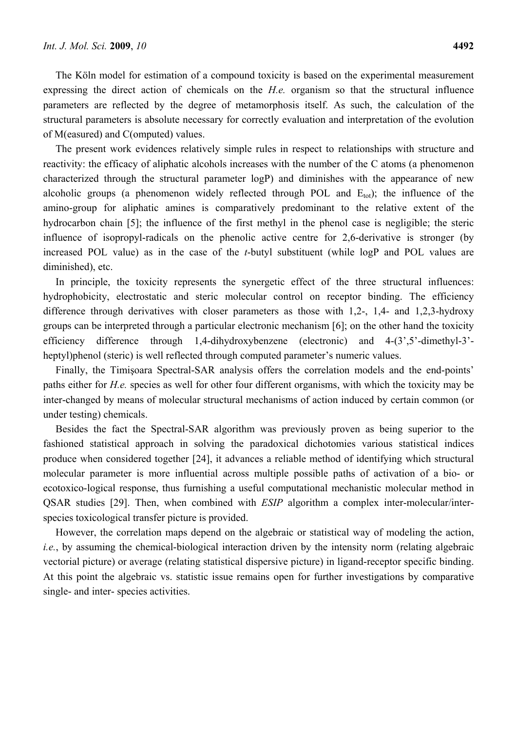The Köln model for estimation of a compound toxicity is based on the experimental measurement expressing the direct action of chemicals on the *H.e.* organism so that the structural influence parameters are reflected by the degree of metamorphosis itself. As such, the calculation of the structural parameters is absolute necessary for correctly evaluation and interpretation of the evolution of M(easured) and C(omputed) values.

The present work evidences relatively simple rules in respect to relationships with structure and reactivity: the efficacy of aliphatic alcohols increases with the number of the C atoms (a phenomenon characterized through the structural parameter logP) and diminishes with the appearance of new alcoholic groups (a phenomenon widely reflected through POL and  $E_{tot}$ ); the influence of the amino-group for aliphatic amines is comparatively predominant to the relative extent of the hydrocarbon chain [5]; the influence of the first methyl in the phenol case is negligible; the steric influence of isopropyl-radicals on the phenolic active centre for 2,6-derivative is stronger (by increased POL value) as in the case of the *t*-butyl substituent (while logP and POL values are diminished), etc.

In principle, the toxicity represents the synergetic effect of the three structural influences: hydrophobicity, electrostatic and steric molecular control on receptor binding. The efficiency difference through derivatives with closer parameters as those with 1,2-, 1,4- and 1,2,3-hydroxy groups can be interpreted through a particular electronic mechanism [6]; on the other hand the toxicity efficiency difference through 1,4-dihydroxybenzene (electronic) and 4-(3',5'-dimethyl-3' heptyl)phenol (steric) is well reflected through computed parameter's numeric values.

Finally, the Timişoara Spectral-SAR analysis offers the correlation models and the end-points' paths either for *H.e.* species as well for other four different organisms, with which the toxicity may be inter-changed by means of molecular structural mechanisms of action induced by certain common (or under testing) chemicals.

Besides the fact the Spectral-SAR algorithm was previously proven as being superior to the fashioned statistical approach in solving the paradoxical dichotomies various statistical indices produce when considered together [24], it advances a reliable method of identifying which structural molecular parameter is more influential across multiple possible paths of activation of a bio- or ecotoxico-logical response, thus furnishing a useful computational mechanistic molecular method in QSAR studies [29]. Then, when combined with *ESIP* algorithm a complex inter-molecular/interspecies toxicological transfer picture is provided.

However, the correlation maps depend on the algebraic or statistical way of modeling the action, *i.e.*, by assuming the chemical-biological interaction driven by the intensity norm (relating algebraic vectorial picture) or average (relating statistical dispersive picture) in ligand-receptor specific binding. At this point the algebraic vs. statistic issue remains open for further investigations by comparative single- and inter- species activities.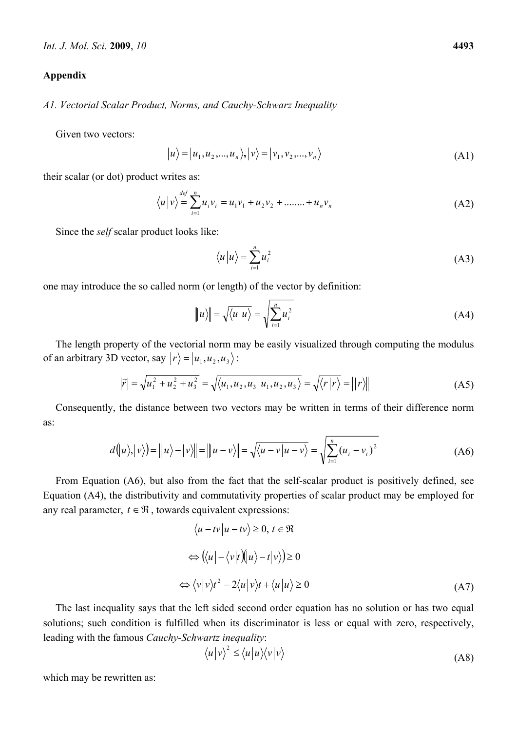#### **Appendix**

*A1. Vectorial Scalar Product, Norms, and Cauchy-Schwarz Inequality* 

Given two vectors:

$$
|u\rangle = |u_1, u_2, \dots, u_n\rangle, |v\rangle = |v_1, v_2, \dots, v_n\rangle
$$
 (A1)

their scalar (or dot) product writes as:

$$
\langle u | v \rangle = \sum_{i=1}^{def} u_i v_i = u_1 v_1 + u_2 v_2 + \dots + u_n v_n
$$
 (A2)

Since the *self* scalar product looks like:

$$
\langle u|u\rangle = \sum_{i=1}^{n} u_i^2
$$
 (A3)

one may introduce the so called norm (or length) of the vector by definition:

$$
\|u\| = \sqrt{\langle u|u\rangle} = \sqrt{\sum_{i=1}^{n} u_i^2}
$$
 (A4)

The length property of the vectorial norm may be easily visualized through computing the modulus of an arbitrary 3D vector, say  $|r\rangle = |u_1, u_2, u_3\rangle$ :

$$
|\vec{r}| = \sqrt{u_1^2 + u_2^2 + u_3^2} = \sqrt{\langle u_1, u_2, u_3 | u_1, u_2, u_3 \rangle} = \sqrt{\langle r | r \rangle} = ||r \rangle ||
$$
 (A5)

Consequently, the distance between two vectors may be written in terms of their difference norm as:

$$
d(u), |v\rangle) = ||u\rangle - |v\rangle|| = ||u - v\rangle|| = \sqrt{\langle u - v|u - v\rangle} = \sqrt{\sum_{i=1}^{n} (u_i - v_i)^2}
$$
 (A6)

From Equation (A6), but also from the fact that the self-scalar product is positively defined, see Equation (A4), the distributivity and commutativity properties of scalar product may be employed for any real parameter,  $t \in \Re$ , towards equivalent expressions:

$$
\langle u - tv | u - tv \rangle \ge 0, t \in \mathfrak{R}
$$
  
\n
$$
\Leftrightarrow (\langle u | - \langle v | t | \mathbf{u} \rangle - t | v \rangle) \ge 0
$$
  
\n
$$
\Leftrightarrow \langle v | v \rangle t^2 - 2 \langle u | v \rangle t + \langle u | u \rangle \ge 0
$$
\n(A7)

The last inequality says that the left sided second order equation has no solution or has two equal solutions; such condition is fulfilled when its discriminator is less or equal with zero, respectively, leading with the famous *Cauchy-Schwartz inequality*:

$$
\langle u|v\rangle^2 \le \langle u|u\rangle\langle v|v\rangle \tag{A8}
$$

which may be rewritten as: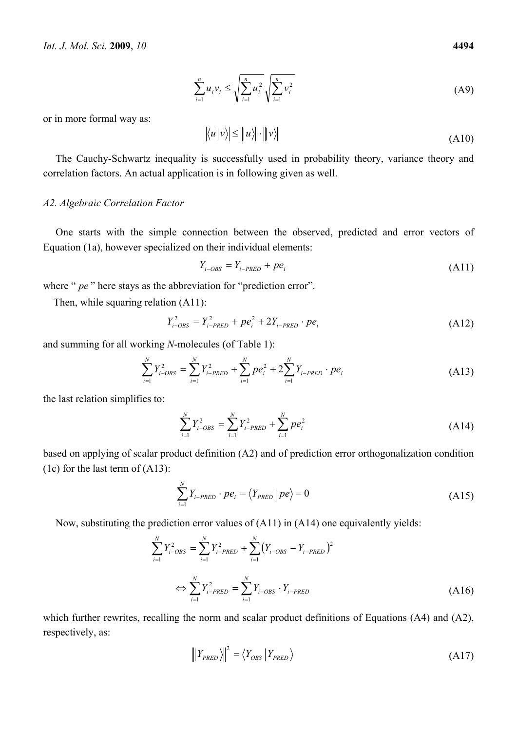$$
\sum_{i=1}^{n} u_i v_i \le \sqrt{\sum_{i=1}^{n} u_i^2} \sqrt{\sum_{i=1}^{n} v_i^2}
$$
 (A9)

or in more formal way as:

$$
\left| \langle u | v \rangle \right| \le \| u \rangle \| \cdot \| v \rangle \| \tag{A10}
$$

The Cauchy-Schwartz inequality is successfully used in probability theory, variance theory and correlation factors. An actual application is in following given as well.

## *A2. Algebraic Correlation Factor*

One starts with the simple connection between the observed, predicted and error vectors of Equation (1a), however specialized on their individual elements:

$$
Y_{i-OBS} = Y_{i-PRED} + p e_i \tag{A11}
$$

where " *pe* " here stays as the abbreviation for "prediction error".

Then, while squaring relation (A11):

$$
Y_{i-OBS}^2 = Y_{i-PRED}^2 + pe_i^2 + 2Y_{i-PRED} \cdot pe_i
$$
 (A12)

and summing for all working *N*-molecules (of Table 1):

$$
\sum_{i=1}^{N} Y_{i-OBS}^{2} = \sum_{i=1}^{N} Y_{i-PRED}^{2} + \sum_{i=1}^{N} p e_{i}^{2} + 2 \sum_{i=1}^{N} Y_{i-PRED} \cdot p e_{i}
$$
\n(A13)

the last relation simplifies to:

$$
\sum_{i=1}^{N} Y_{i-OBS}^{2} = \sum_{i=1}^{N} Y_{i-PRED}^{2} + \sum_{i=1}^{N} p e_{i}^{2}
$$
 (A14)

based on applying of scalar product definition (A2) and of prediction error orthogonalization condition (1c) for the last term of (A13):

$$
\sum_{i=1}^{N} Y_{i-PRED} \cdot p e_i = \langle Y_{PRED} | p e \rangle = 0
$$
\n(A15)

Now, substituting the prediction error values of (A11) in (A14) one equivalently yields:

$$
\sum_{i=1}^{N} Y_{i-OBS}^{2} = \sum_{i=1}^{N} Y_{i-PRED}^{2} + \sum_{i=1}^{N} (Y_{i-OBS} - Y_{i-PRED})^{2}
$$
\n
$$
\Leftrightarrow \sum_{i=1}^{N} Y_{i-PRED}^{2} = \sum_{i=1}^{N} Y_{i-OBS} \cdot Y_{i-PRED}
$$
\n(A16)

which further rewrites, recalling the norm and scalar product definitions of Equations (A4) and (A2), respectively, as:

$$
\left\| Y_{PRED} \right\|^2 = \left\langle Y_{OBS} \left| Y_{PRED} \right\rangle \right. \tag{A17}
$$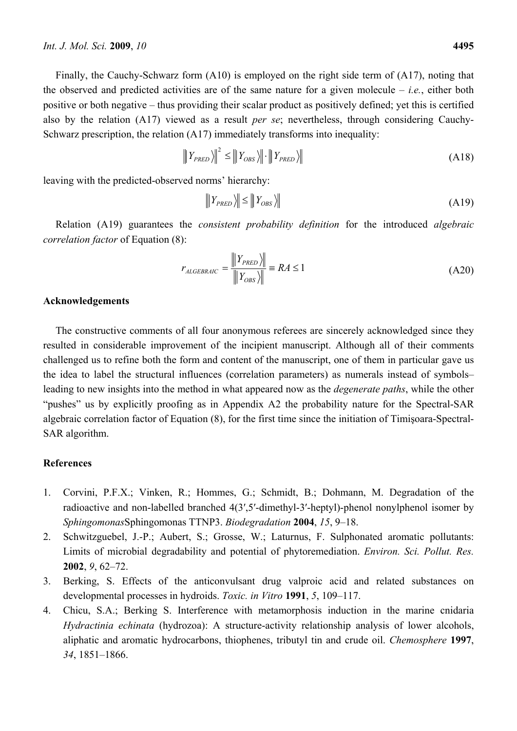Finally, the Cauchy-Schwarz form (A10) is employed on the right side term of (A17), noting that the observed and predicted activities are of the same nature for a given molecule – *i.e.*, either both positive or both negative – thus providing their scalar product as positively defined; yet this is certified also by the relation (A17) viewed as a result *per se*; nevertheless, through considering Cauchy-Schwarz prescription, the relation (A17) immediately transforms into inequality:

$$
\|Y_{PRED}\rangle\|^2 \le \|Y_{OBS}\rangle\|\cdot\|Y_{PRED}\rangle\| \tag{A18}
$$

leaving with the predicted-observed norms' hierarchy:

$$
|||Y_{PRED}\rangle|| \le |||Y_{OBS}\rangle|| \tag{A19}
$$

Relation (A19) guarantees the *consistent probability definition* for the introduced *algebraic correlation factor* of Equation (8):

$$
r_{ALGEBRAIC} = \frac{\|Y_{PRED}\rangle\|}{\|Y_{OBS}\rangle\|} = RA \le 1
$$
\n(A20)

## **Acknowledgements**

The constructive comments of all four anonymous referees are sincerely acknowledged since they resulted in considerable improvement of the incipient manuscript. Although all of their comments challenged us to refine both the form and content of the manuscript, one of them in particular gave us the idea to label the structural influences (correlation parameters) as numerals instead of symbols– leading to new insights into the method in what appeared now as the *degenerate paths*, while the other "pushes" us by explicitly proofing as in Appendix A2 the probability nature for the Spectral-SAR algebraic correlation factor of Equation (8), for the first time since the initiation of Timişoara-Spectral-SAR algorithm.

### **References**

- 1. Corvini, P.F.X.; Vinken, R.; Hommes, G.; Schmidt, B.; Dohmann, M. Degradation of the radioactive and non-labelled branched 4(3′,5′-dimethyl-3′-heptyl)-phenol nonylphenol isomer by *Sphingomonas*Sphingomonas TTNP3. *Biodegradation* **2004**, *15*, 9–18.
- 2. Schwitzguebel, J.-P.; Aubert, S.; Grosse, W.; Laturnus, F. Sulphonated aromatic pollutants: Limits of microbial degradability and potential of phytoremediation. *Environ. Sci. Pollut. Res.* **2002**, *9*, 62–72.
- 3. Berking, S. Effects of the anticonvulsant drug valproic acid and related substances on developmental processes in hydroids. *Toxic. in Vitro* **1991**, *5*, 109–117.
- 4. Chicu, S.A.; Berking S. Interference with metamorphosis induction in the marine cnidaria *Hydractinia echinata* (hydrozoa): A structure-activity relationship analysis of lower alcohols, aliphatic and aromatic hydrocarbons, thiophenes, tributyl tin and crude oil. *Chemosphere* **1997**, *34*, 1851–1866.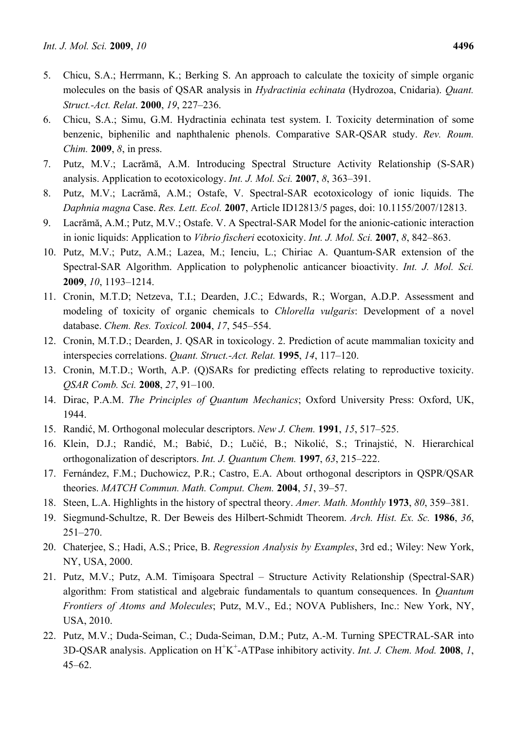- 5. Chicu, S.A.; Herrmann, K.; Berking S. An approach to calculate the toxicity of simple organic molecules on the basis of QSAR analysis in *Hydractinia echinata* (Hydrozoa, Cnidaria). *Quant. Struct.-Act. Relat*. **2000**, *19*, 227–236.
- 6. Chicu, S.A.; Simu, G.M. Hydractinia echinata test system. I. Toxicity determination of some benzenic, biphenilic and naphthalenic phenols. Comparative SAR-QSAR study. *Rev. Roum. Chim.* **2009**, *8*, in press.
- 7. Putz, M.V.; Lacrămă, A.M. Introducing Spectral Structure Activity Relationship (S-SAR) analysis. Application to ecotoxicology. *Int. J. Mol. Sci.* **2007**, *8*, 363–391.
- 8. Putz, M.V.; Lacrămă, A.M.; Ostafe, V. Spectral-SAR ecotoxicology of ionic liquids. The *Daphnia magna* Case. *Res. Lett. Ecol.* **2007**, Article ID12813/5 pages, doi: 10.1155/2007/12813.
- 9. Lacrămă, A.M.; Putz, M.V.; Ostafe. V. A Spectral-SAR Model for the anionic-cationic interaction in ionic liquids: Application to *Vibrio fischeri* ecotoxicity. *Int. J. Mol. Sci.* **2007**, *8*, 842–863.
- 10. Putz, M.V.; Putz, A.M.; Lazea, M.; Ienciu, L.; Chiriac A. Quantum-SAR extension of the Spectral-SAR Algorithm. Application to polyphenolic anticancer bioactivity. *Int. J. Mol. Sci.* **2009**, *10*, 1193–1214.
- 11. Cronin, M.T.D; Netzeva, T.I.; Dearden, J.C.; Edwards, R.; Worgan, A.D.P. Assessment and modeling of toxicity of organic chemicals to *Chlorella vulgaris*: Development of a novel database. *Chem. Res. Toxicol.* **2004**, *17*, 545–554.
- 12. Cronin, M.T.D.; Dearden, J. QSAR in toxicology. 2. Prediction of acute mammalian toxicity and interspecies correlations. *Quant. Struct.-Act. Relat.* **1995**, *14*, 117–120.
- 13. Cronin, M.T.D.; Worth, A.P. (Q)SARs for predicting effects relating to reproductive toxicity. *QSAR Comb. Sci.* **2008**, *27*, 91–100.
- 14. Dirac, P.A.M. *The Principles of Quantum Mechanics*; Oxford University Press: Oxford, UK, 1944.
- 15. Randić, M. Orthogonal molecular descriptors. *New J. Chem.* **1991**, *15*, 517–525.
- 16. Klein, D.J.; Randić, M.; Babić, D.; Lučić, B.; Nikolić, S.; Trinajstić, N. Hierarchical orthogonalization of descriptors. *Int. J. Quantum Chem.* **1997**, *63*, 215–222.
- 17. Fernández, F.M.; Duchowicz, P.R.; Castro, E.A. About orthogonal descriptors in QSPR/QSAR theories. *MATCH Commun. Math. Comput. Chem.* **2004**, *51*, 39–57.
- 18. Steen, L.A. Highlights in the history of spectral theory. *Amer. Math. Monthly* **1973**, *80*, 359–381.
- 19. Siegmund-Schultze, R. Der Beweis des Hilbert-Schmidt Theorem. *Arch. Hist. Ex. Sc.* **1986**, *36*, 251–270.
- 20. Chaterjee, S.; Hadi, A.S.; Price, B. *Regression Analysis by Examples*, 3rd ed.; Wiley: New York, NY, USA, 2000.
- 21. Putz, M.V.; Putz, A.M. Timişoara Spectral Structure Activity Relationship (Spectral-SAR) algorithm: From statistical and algebraic fundamentals to quantum consequences. In *Quantum Frontiers of Atoms and Molecules*; Putz, M.V., Ed.; NOVA Publishers, Inc.: New York, NY, USA, 2010.
- 22. Putz, M.V.; Duda-Seiman, C.; Duda-Seiman, D.M.; Putz, A.-M. Turning SPECTRAL-SAR into 3D-QSAR analysis. Application on H+ K+ -ATPase inhibitory activity. *Int. J. Chem. Mod.* **2008**, *1*, 45–62.